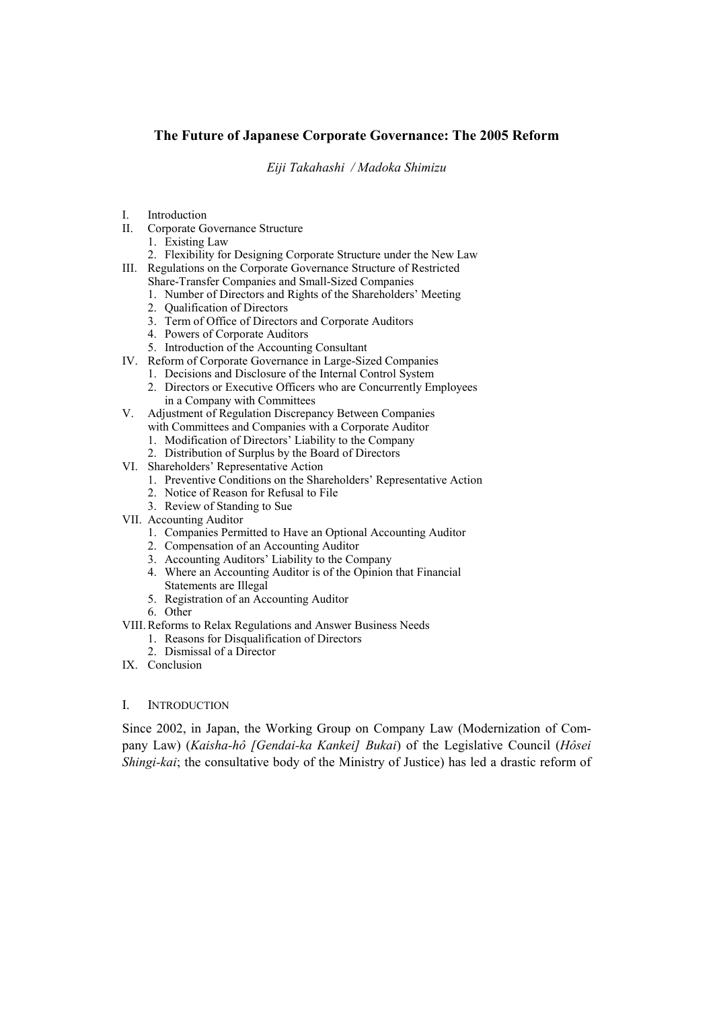# **The Future of Japanese Corporate Governance: The 2005 Reform**

*Eiji Takahashi / Madoka Shimizu* 

- I. Introduction
- II. Corporate Governance Structure
	- 1. Existing Law
	- 2. Flexibility for Designing Corporate Structure under the New Law
- III. Regulations on the Corporate Governance Structure of Restricted Share-Transfer Companies and Small-Sized Companies
	- 1. Number of Directors and Rights of the Shareholders' Meeting
	- 2. Qualification of Directors
	- 3. Term of Office of Directors and Corporate Auditors
	- 4. Powers of Corporate Auditors
	- 5. Introduction of the Accounting Consultant
- IV. Reform of Corporate Governance in Large-Sized Companies
	- 1. Decisions and Disclosure of the Internal Control System
	- 2. Directors or Executive Officers who are Concurrently Employees in a Company with Committees
- V. Adjustment of Regulation Discrepancy Between Companies with Committees and Companies with a Corporate Auditor
	- 1. Modification of Directors' Liability to the Company
	- 2. Distribution of Surplus by the Board of Directors
- VI. Shareholders' Representative Action
	- 1. Preventive Conditions on the Shareholders' Representative Action
	- 2. Notice of Reason for Refusal to File
	- 3. Review of Standing to Sue
- VII. Accounting Auditor
	- 1. Companies Permitted to Have an Optional Accounting Auditor
	- 2. Compensation of an Accounting Auditor
	- 3. Accounting Auditors' Liability to the Company
	- 4. Where an Accounting Auditor is of the Opinion that Financial Statements are Illegal
	- 5. Registration of an Accounting Auditor
	- 6. Other
- VIII.Reforms to Relax Regulations and Answer Business Needs
	- 1. Reasons for Disqualification of Directors
	- 2. Dismissal of a Director
- IX. Conclusion

## I. INTRODUCTION

Since 2002, in Japan, the Working Group on Company Law (Modernization of Company Law) (*Kaisha-hô [Gendai-ka Kankei] Bukai*) of the Legislative Council (*Hôsei Shingi-kai*; the consultative body of the Ministry of Justice) has led a drastic reform of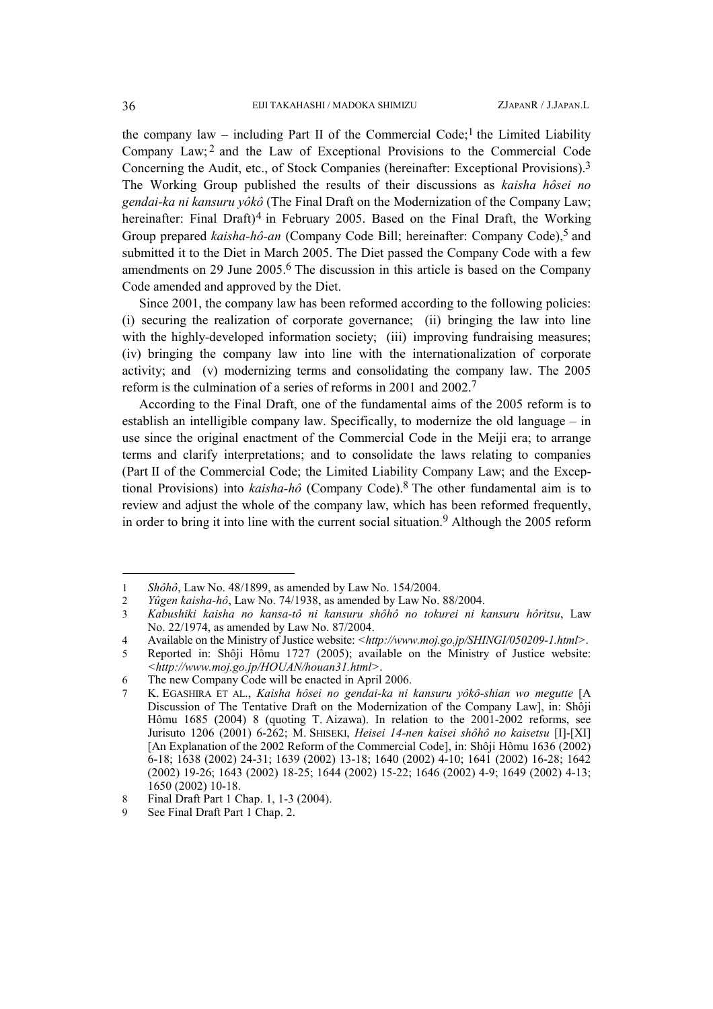the company law – including Part II of the Commercial Code;<sup>[1](#page-1-0)</sup> the Limited Liability Company Law; [2](#page-1-1) and the Law of Exceptional Provisions to the Commercial Code Concerning the Audit, etc., of Stock Companies (hereinafter: Exceptional Provisions).[3](#page-1-2) The Working Group published the results of their discussions as *kaisha hôsei no gendai-ka ni kansuru yôkô* (The Final Draft on the Modernization of the Company Law; hereinafter: Final Draft)<sup>[4](#page-1-3)</sup> in February 2005. Based on the Final Draft, the Working Group prepared *kaisha-hô-an* (Company Code Bill; hereinafter: Company Code).<sup>5</sup> and submitted it to the Diet in March 2005. The Diet passed the Company Code with a few amendments on 29 June 2005.[6](#page-1-5) The discussion in this article is based on the Company Code amended and approved by the Diet.

Since 2001, the company law has been reformed according to the following policies: (i) securing the realization of corporate governance; (ii) bringing the law into line with the highly-developed information society; (iii) improving fundraising measures; (iv) bringing the company law into line with the internationalization of corporate activity; and (v) modernizing terms and consolidating the company law. The 2005 reform is the culmination of a series of reforms in 2001 and 2002.[7](#page-1-6)

According to the Final Draft, one of the fundamental aims of the 2005 reform is to establish an intelligible company law. Specifically, to modernize the old language – in use since the original enactment of the Commercial Code in the Meiji era; to arrange terms and clarify interpretations; and to consolidate the laws relating to companies (Part II of the Commercial Code; the Limited Liability Company Law; and the Exceptional Provisions) into *kaisha-hô* (Company Code).[8](#page-1-7) The other fundamental aim is to review and adjust the whole of the company law, which has been reformed frequently, in order to bring it into line with the current social situation.<sup>[9](#page-1-8)</sup> Although the 2005 reform

<span id="page-1-0"></span><sup>1</sup> *Shôhô*, Law No. 48/1899, as amended by Law No. 154/2004.

<span id="page-1-1"></span><sup>2</sup> *Yûgen kaisha-hô*, Law No. 74/1938, as amended by Law No. 88/2004.

<span id="page-1-2"></span><sup>3</sup> *Kabushiki kaisha no kansa-tô ni kansuru shôhô no tokurei ni kansuru hôritsu*, Law No. 22/1974, as amended by Law No. 87/2004.

<span id="page-1-3"></span><sup>4</sup> Available on the Ministry of Justice website: *<http://www.moj.go.jp/SHINGI/050209-1.html>*.

<span id="page-1-4"></span><sup>5</sup> Reported in: Shôji Hômu 1727 (2005); available on the Ministry of Justice website: *<http://www.moj.go.jp/HOUAN/houan31.html>*.

<span id="page-1-5"></span><sup>6</sup> The new Company Code will be enacted in April 2006.

<span id="page-1-6"></span><sup>7</sup> K. EGASHIRA ET AL., *Kaisha hôsei no gendai-ka ni kansuru yôkô-shian wo megutte* [A Discussion of The Tentative Draft on the Modernization of the Company Law], in: Shôji Hômu 1685 (2004) 8 (quoting T. Aizawa). In relation to the 2001-2002 reforms, see Jurisuto 1206 (2001) 6-262; M. SHISEKI, *Heisei 14-nen kaisei shôhô no kaisetsu* [I]-[XI] [An Explanation of the 2002 Reform of the Commercial Code], in: Shôji Hômu 1636 (2002) 6-18; 1638 (2002) 24-31; 1639 (2002) 13-18; 1640 (2002) 4-10; 1641 (2002) 16-28; 1642 (2002) 19-26; 1643 (2002) 18-25; 1644 (2002) 15-22; 1646 (2002) 4-9; 1649 (2002) 4-13; 1650 (2002) 10-18.

<span id="page-1-7"></span><sup>8</sup> Final Draft Part 1 Chap. 1, 1-3 (2004).

<span id="page-1-8"></span><sup>9</sup> See Final Draft Part 1 Chap. 2.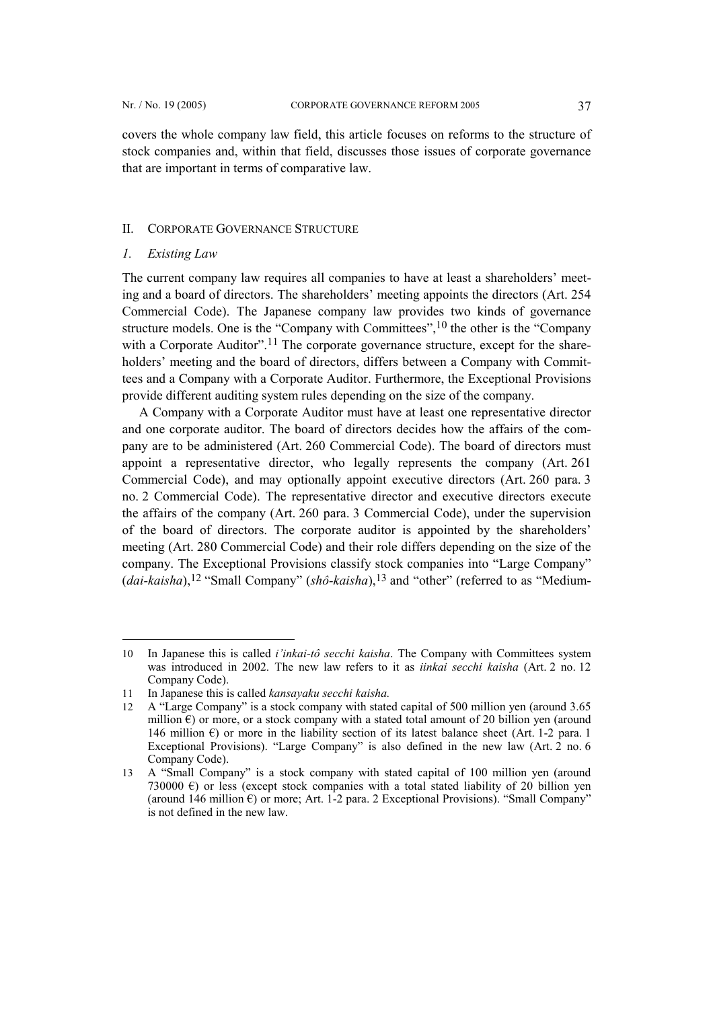covers the whole company law field, this article focuses on reforms to the structure of stock companies and, within that field, discusses those issues of corporate governance that are important in terms of comparative law.

#### II. CORPORATE GOVERNANCE STRUCTURE

#### *1. Existing Law*

l

The current company law requires all companies to have at least a shareholders' meeting and a board of directors. The shareholders' meeting appoints the directors (Art. 254 Commercial Code). The Japanese company law provides two kinds of governance structure models. One is the "Company with Committees",[10](#page-2-0) the other is the "Company with a Corporate Auditor".<sup>[11](#page-2-1)</sup> The corporate governance structure, except for the shareholders' meeting and the board of directors, differs between a Company with Committees and a Company with a Corporate Auditor. Furthermore, the Exceptional Provisions provide different auditing system rules depending on the size of the company.

A Company with a Corporate Auditor must have at least one representative director and one corporate auditor. The board of directors decides how the affairs of the company are to be administered (Art. 260 Commercial Code). The board of directors must appoint a representative director, who legally represents the company (Art. 261 Commercial Code), and may optionally appoint executive directors (Art. 260 para. 3 no. 2 Commercial Code). The representative director and executive directors execute the affairs of the company (Art. 260 para. 3 Commercial Code), under the supervision of the board of directors. The corporate auditor is appointed by the shareholders' meeting (Art. 280 Commercial Code) and their role differs depending on the size of the company. The Exceptional Provisions classify stock companies into "Large Company" (*dai-kaisha*),[12](#page-2-2) "Small Company" (*shô-kaisha*),[13](#page-2-3) and "other" (referred to as "Medium-

<span id="page-2-0"></span><sup>10</sup> In Japanese this is called *i'inkai-tô secchi kaisha*. The Company with Committees system was introduced in 2002. The new law refers to it as *iinkai secchi kaisha* (Art. 2 no. 12 Company Code).

<span id="page-2-1"></span><sup>11</sup> In Japanese this is called *kansayaku secchi kaisha.*

<span id="page-2-2"></span><sup>12</sup> A "Large Company" is a stock company with stated capital of 500 million yen (around 3.65 million  $\epsilon$ ) or more, or a stock company with a stated total amount of 20 billion yen (around 146 million  $\epsilon$ ) or more in the liability section of its latest balance sheet (Art. 1-2 para. 1 Exceptional Provisions). "Large Company" is also defined in the new law (Art. 2 no. 6 Company Code).

<span id="page-2-3"></span><sup>13</sup> A "Small Company" is a stock company with stated capital of 100 million yen (around 730000  $\epsilon$ ) or less (except stock companies with a total stated liability of 20 billion yen (around 146 million €) or more; Art. 1-2 para. 2 Exceptional Provisions). "Small Company" is not defined in the new law.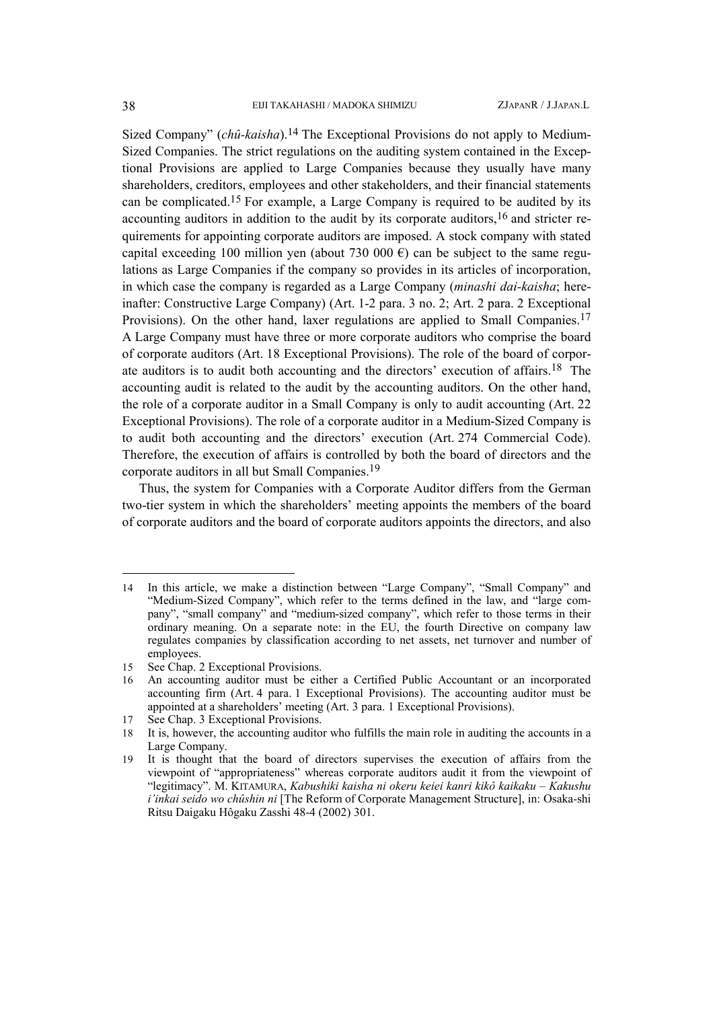Sized Company" (*chû-kaisha*)[.14](#page-3-0) The Exceptional Provisions do not apply to Medium-Sized Companies. The strict regulations on the auditing system contained in the Exceptional Provisions are applied to Large Companies because they usually have many shareholders, creditors, employees and other stakeholders, and their financial statements can be complicated[.15](#page-3-1) For example, a Large Company is required to be audited by its accounting auditors in addition to the audit by its corporate auditors, <sup>16</sup> and stricter requirements for appointing corporate auditors are imposed. A stock company with stated capital exceeding 100 million yen (about 730 000  $\epsilon$ ) can be subject to the same regulations as Large Companies if the company so provides in its articles of incorporation, in which case the company is regarded as a Large Company (*minashi dai-kaisha*; hereinafter: Constructive Large Company) (Art. 1-2 para. 3 no. 2; Art. 2 para. 2 Exceptional Provisions). On the other hand, laxer regulations are applied to Small Companies.[17](#page-3-3) A Large Company must have three or more corporate auditors who comprise the board of corporate auditors (Art. 18 Exceptional Provisions). The role of the board of corporate auditors is to audit both accounting and the directors' execution of affairs.[18](#page-3-4) The accounting audit is related to the audit by the accounting auditors. On the other hand, the role of a corporate auditor in a Small Company is only to audit accounting (Art. 22 Exceptional Provisions). The role of a corporate auditor in a Medium-Sized Company is to audit both accounting and the directors' execution (Art. 274 Commercial Code). Therefore, the execution of affairs is controlled by both the board of directors and the corporate auditors in all but Small Companies[.19](#page-3-5)

Thus, the system for Companies with a Corporate Auditor differs from the German two-tier system in which the shareholders' meeting appoints the members of the board of corporate auditors and the board of corporate auditors appoints the directors, and also

<span id="page-3-0"></span><sup>14</sup> In this article, we make a distinction between "Large Company", "Small Company" and "Medium-Sized Company", which refer to the terms defined in the law, and "large company", "small company" and "medium-sized company", which refer to those terms in their ordinary meaning. On a separate note: in the EU, the fourth Directive on company law regulates companies by classification according to net assets, net turnover and number of employees.

<span id="page-3-1"></span><sup>15</sup> See Chap. 2 Exceptional Provisions.<br>16 An accounting auditor must be eit

<span id="page-3-2"></span><sup>16</sup> An accounting auditor must be either a Certified Public Accountant or an incorporated accounting firm (Art. 4 para. 1 Exceptional Provisions). The accounting auditor must be appointed at a shareholders' meeting (Art. 3 para. 1 Exceptional Provisions).

<span id="page-3-4"></span><span id="page-3-3"></span>

<sup>17</sup> See Chap. 3 Exceptional Provisions.<br>18 It is, however, the accounting auditor It is, however, the accounting auditor who fulfills the main role in auditing the accounts in a Large Company.

<span id="page-3-5"></span><sup>19</sup> It is thought that the board of directors supervises the execution of affairs from the viewpoint of "appropriateness" whereas corporate auditors audit it from the viewpoint of "legitimacy". M. KITAMURA, *Kabushiki kaisha ni okeru keiei kanri kikô kaikaku – Kakushu i'inkai seido wo chûshin ni* [The Reform of Corporate Management Structure], in: Osaka-shi Ritsu Daigaku Hôgaku Zasshi 48-4 (2002) 301.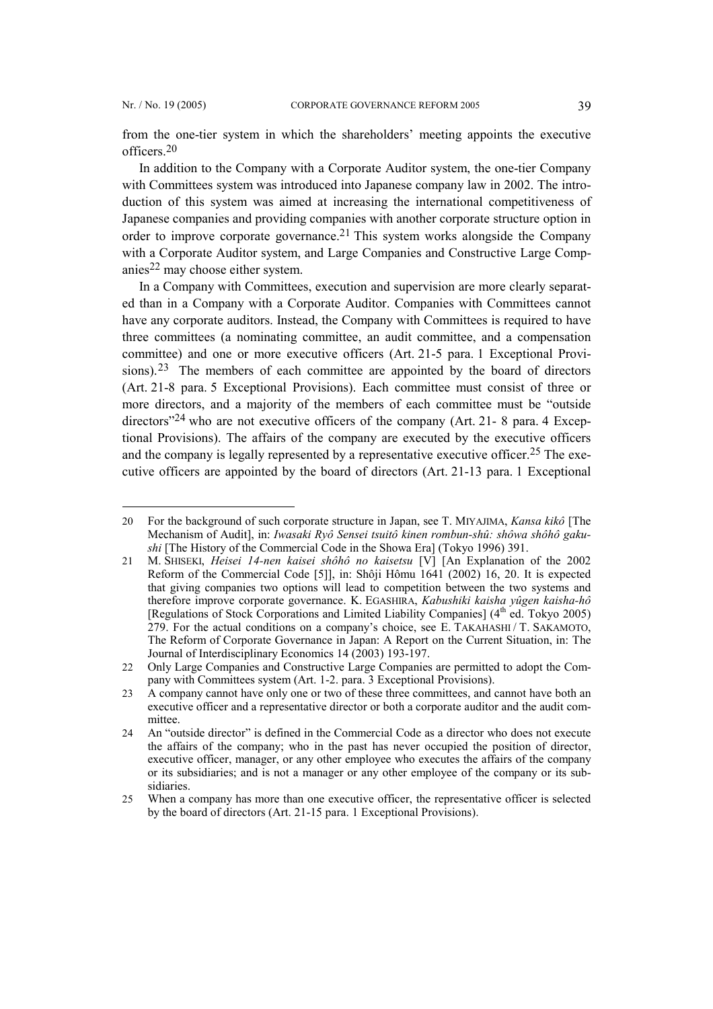l

from the one-tier system in which the shareholders' meeting appoints the executive officers.[20](#page-4-0) 

In addition to the Company with a Corporate Auditor system, the one-tier Company with Committees system was introduced into Japanese company law in 2002. The introduction of this system was aimed at increasing the international competitiveness of Japanese companies and providing companies with another corporate structure option in order to improve corporate governance.[21](#page-4-1) This system works alongside the Company with a Corporate Auditor system, and Large Companies and Constructive Large Companies[22](#page-4-2) may choose either system.

In a Company with Committees, execution and supervision are more clearly separated than in a Company with a Corporate Auditor. Companies with Committees cannot have any corporate auditors. Instead, the Company with Committees is required to have three committees (a nominating committee, an audit committee, and a compensation committee) and one or more executive officers (Art. 21-5 para. 1 Exceptional Provi-sions).<sup>[23](#page-4-3)</sup> The members of each committee are appointed by the board of directors (Art. 21-8 para. 5 Exceptional Provisions). Each committee must consist of three or more directors, and a majority of the members of each committee must be "outside directors<sup>"[24](#page-4-4)</sup> who are not executive officers of the company (Art. 21-8 para. 4 Exceptional Provisions). The affairs of the company are executed by the executive officers and the company is legally represented by a representative executive officer.<sup>25</sup> The executive officers are appointed by the board of directors (Art. 21-13 para. 1 Exceptional

<span id="page-4-0"></span><sup>20</sup> For the background of such corporate structure in Japan, see T. MIYAJIMA, *Kansa kikô* [The Mechanism of Audit], in: *Iwasaki Ryô Sensei tsuitô kinen rombun-shû: shôwa shôhô gakushi* [The History of the Commercial Code in the Showa Era] (Tokyo 1996) 391.

<span id="page-4-1"></span><sup>21</sup> M. SHISEKI, *Heisei 14-nen kaisei shôhô no kaisetsu* [V] [An Explanation of the 2002 Reform of the Commercial Code [5]], in: Shôji Hômu 1641 (2002) 16, 20. It is expected that giving companies two options will lead to competition between the two systems and therefore improve corporate governance. K. EGASHIRA, *Kabushiki kaisha yûgen kaisha-hô* [Regulations of Stock Corporations and Limited Liability Companies] (4<sup>th</sup> ed. Tokyo 2005) 279. For the actual conditions on a company's choice, see E. TAKAHASHI / T. SAKAMOTO, The Reform of Corporate Governance in Japan: A Report on the Current Situation, in: The Journal of Interdisciplinary Economics 14 (2003) 193-197.

<span id="page-4-2"></span><sup>22</sup> Only Large Companies and Constructive Large Companies are permitted to adopt the Company with Committees system (Art. 1-2. para. 3 Exceptional Provisions).

<span id="page-4-3"></span><sup>23</sup> A company cannot have only one or two of these three committees, and cannot have both an executive officer and a representative director or both a corporate auditor and the audit committee.

<span id="page-4-4"></span><sup>24</sup> An "outside director" is defined in the Commercial Code as a director who does not execute the affairs of the company; who in the past has never occupied the position of director, executive officer, manager, or any other employee who executes the affairs of the company or its subsidiaries; and is not a manager or any other employee of the company or its subsidiaries.

<span id="page-4-5"></span><sup>25</sup> When a company has more than one executive officer, the representative officer is selected by the board of directors (Art. 21-15 para. 1 Exceptional Provisions).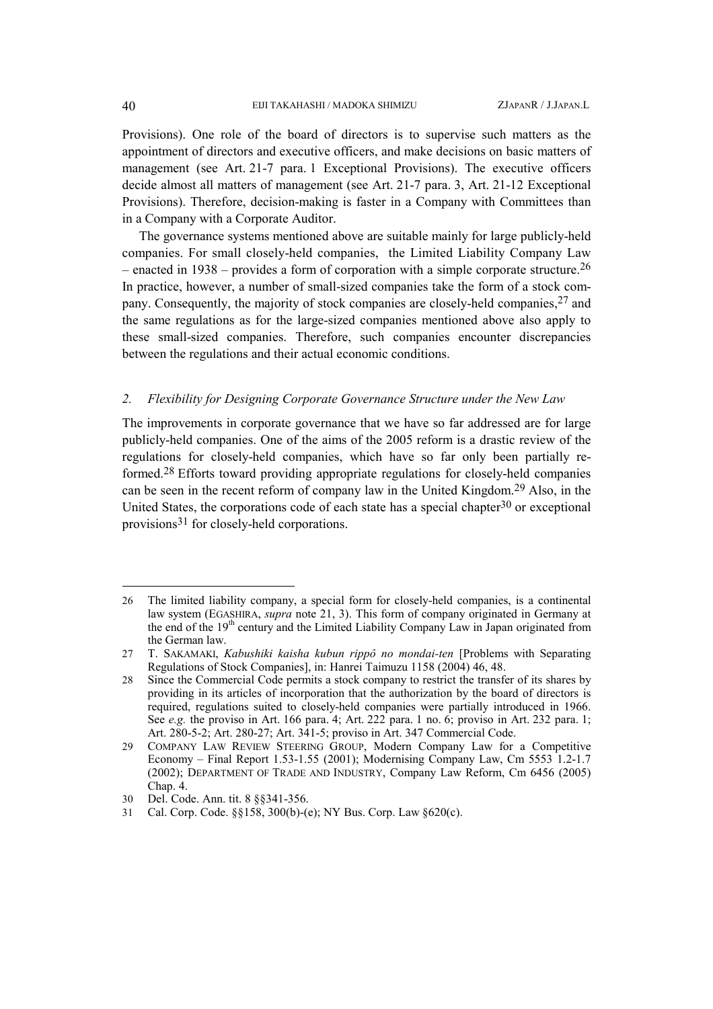Provisions). One role of the board of directors is to supervise such matters as the appointment of directors and executive officers, and make decisions on basic matters of management (see Art. 21-7 para. 1 Exceptional Provisions). The executive officers decide almost all matters of management (see Art. 21-7 para. 3, Art. 21-12 Exceptional Provisions). Therefore, decision-making is faster in a Company with Committees than in a Company with a Corporate Auditor.

The governance systems mentioned above are suitable mainly for large publicly-held companies. For small closely-held companies, the Limited Liability Company Law – enacted in  $1938$  – provides a form of corporation with a simple corporate structure.<sup>[26](#page-5-0)</sup> In practice, however, a number of small-sized companies take the form of a stock company. Consequently, the majority of stock companies are closely-held companies,[27](#page-5-1) and the same regulations as for the large-sized companies mentioned above also apply to these small-sized companies. Therefore, such companies encounter discrepancies between the regulations and their actual economic conditions.

## *2. Flexibility for Designing Corporate Governance Structure under the New Law*

The improvements in corporate governance that we have so far addressed are for large publicly-held companies. One of the aims of the 2005 reform is a drastic review of the regulations for closely-held companies, which have so far only been partially reformed.[28](#page-5-2) Efforts toward providing appropriate regulations for closely-held companies can be seen in the recent reform of company law in the United Kingdom. [29](#page-5-3) Also, in the United States, the corporations code of each state has a special chapter  $30$  or exceptional provisions[31](#page-5-5) for closely-held corporations.

<span id="page-5-0"></span><sup>26</sup> The limited liability company, a special form for closely-held companies, is a continental law system (EGASHIRA, *supra* note 21, 3). This form of company originated in Germany at the end of the 19th century and the Limited Liability Company Law in Japan originated from the German law.

<span id="page-5-1"></span><sup>27</sup> T. SAKAMAKI, *Kabushiki kaisha kubun rippô no mondai-ten* [Problems with Separating Regulations of Stock Companies], in: Hanrei Taimuzu 1158 (2004) 46, 48.

<span id="page-5-2"></span><sup>28</sup> Since the Commercial Code permits a stock company to restrict the transfer of its shares by providing in its articles of incorporation that the authorization by the board of directors is required, regulations suited to closely-held companies were partially introduced in 1966. See *e.g.* the proviso in Art. 166 para. 4; Art. 222 para. 1 no. 6; proviso in Art. 232 para. 1; Art. 280-5-2; Art. 280-27; Art. 341-5; proviso in Art. 347 Commercial Code.

<span id="page-5-3"></span><sup>29</sup> COMPANY LAW REVIEW STEERING GROUP, Modern Company Law for a Competitive Economy – Final Report 1.53-1.55 (2001); Modernising Company Law, Cm 5553 1.2-1.7 (2002); DEPARTMENT OF TRADE AND INDUSTRY, Company Law Reform, Cm 6456 (2005) Chap. 4.

<span id="page-5-4"></span><sup>30</sup> Del. Code. Ann. tit. 8 §§341-356.

<span id="page-5-5"></span><sup>31</sup> Cal. Corp. Code. §§158, 300(b)-(e); NY Bus. Corp. Law §620(c).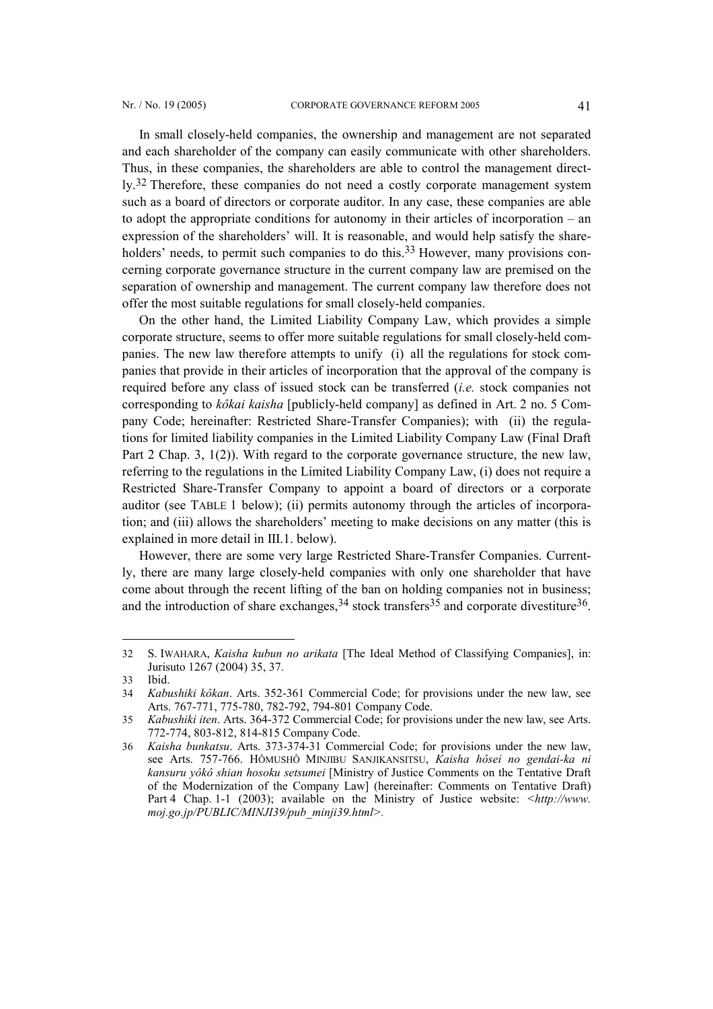In small closely-held companies, the ownership and management are not separated and each shareholder of the company can easily communicate with other shareholders. Thus, in these companies, the shareholders are able to control the management direct-ly.<sup>[32](#page-6-0)</sup> Therefore, these companies do not need a costly corporate management system such as a board of directors or corporate auditor. In any case, these companies are able to adopt the appropriate conditions for autonomy in their articles of incorporation – an expression of the shareholders' will. It is reasonable, and would help satisfy the share-holders' needs, to permit such companies to do this.<sup>[33](#page-6-1)</sup> However, many provisions concerning corporate governance structure in the current company law are premised on the separation of ownership and management. The current company law therefore does not offer the most suitable regulations for small closely-held companies.

On the other hand, the Limited Liability Company Law, which provides a simple corporate structure, seems to offer more suitable regulations for small closely-held companies. The new law therefore attempts to unify (i) all the regulations for stock companies that provide in their articles of incorporation that the approval of the company is required before any class of issued stock can be transferred (*i.e.* stock companies not corresponding to *kôkai kaisha* [publicly-held company] as defined in Art. 2 no. 5 Company Code; hereinafter: Restricted Share-Transfer Companies); with (ii) the regulations for limited liability companies in the Limited Liability Company Law (Final Draft Part 2 Chap. 3, 1(2)). With regard to the corporate governance structure, the new law, referring to the regulations in the Limited Liability Company Law, (i) does not require a Restricted Share-Transfer Company to appoint a board of directors or a corporate auditor (see TABLE 1 below); (ii) permits autonomy through the articles of incorporation; and (iii) allows the shareholders' meeting to make decisions on any matter (this is explained in more detail in III.1. below).

However, there are some very large Restricted Share-Transfer Companies. Currently, there are many large closely-held companies with only one shareholder that have come about through the recent lifting of the ban on holding companies not in business; and the introduction of share exchanges,  $34$  stock transfers  $35$  and corporate divestiture  $36$ .

<span id="page-6-0"></span><sup>32</sup> S. IWAHARA, *Kaisha kubun no arikata* [The Ideal Method of Classifying Companies], in: Jurisuto 1267 (2004) 35, 37.

<span id="page-6-1"></span><sup>33</sup> Ibid.

<span id="page-6-2"></span><sup>34</sup> *Kabushiki kôkan*. Arts. 352-361 Commercial Code; for provisions under the new law, see Arts. 767-771, 775-780, 782-792, 794-801 Company Code.

<span id="page-6-3"></span><sup>35</sup> *Kabushiki iten*. Arts. 364-372 Commercial Code; for provisions under the new law, see Arts. 772-774, 803-812, 814-815 Company Code.

<span id="page-6-4"></span><sup>36</sup> *Kaisha bunkatsu*. Arts. 373-374-31 Commercial Code; for provisions under the new law, see Arts. 757-766. HÔMUSHÔ MINJIBU SANJIKANSITSU, *Kaisha hôsei no gendai-ka ni kansuru yôkô shian hosoku setsumei* [Ministry of Justice Comments on the Tentative Draft of the Modernization of the Company Law] (hereinafter: Comments on Tentative Draft) Part 4 Chap. 1-1 (2003); available on the Ministry of Justice website: *<http://www. moj.go.jp/PUBLIC/MINJI39/pub\_minji39.html>.*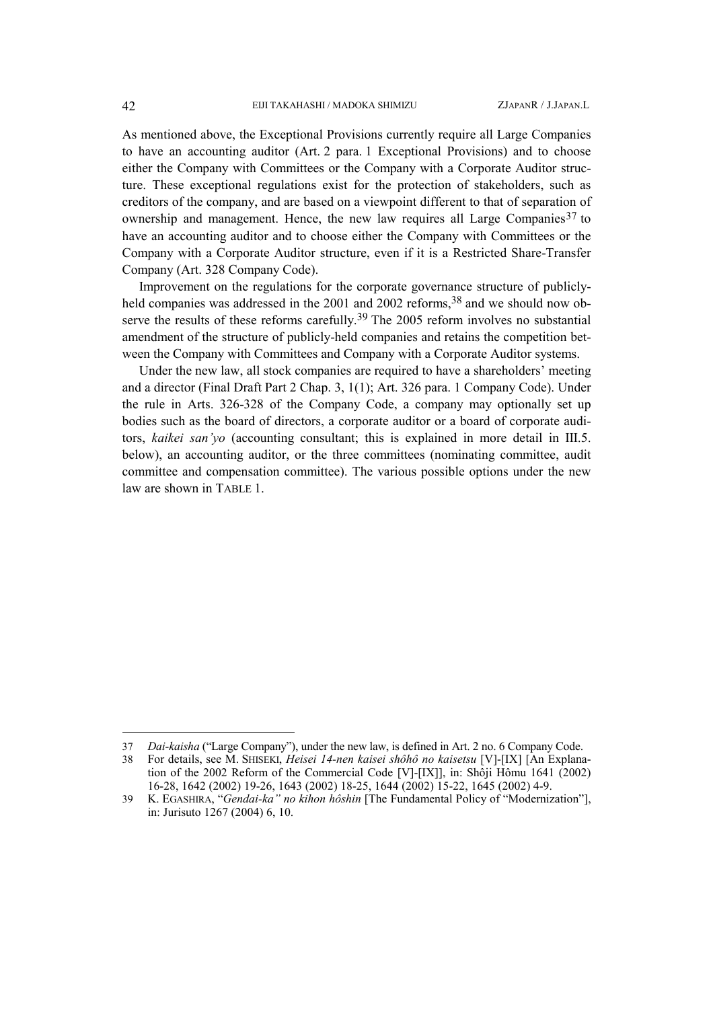As mentioned above, the Exceptional Provisions currently require all Large Companies to have an accounting auditor (Art. 2 para. 1 Exceptional Provisions) and to choose either the Company with Committees or the Company with a Corporate Auditor structure. These exceptional regulations exist for the protection of stakeholders, such as creditors of the company, and are based on a viewpoint different to that of separation of ownership and management. Hence, the new law requires all Large Companies<sup>37</sup> to have an accounting auditor and to choose either the Company with Committees or the Company with a Corporate Auditor structure, even if it is a Restricted Share-Transfer Company (Art. 328 Company Code).

Improvement on the regulations for the corporate governance structure of publicly-held companies was addressed in the 2001 and 2002 reforms, <sup>[38](#page-7-1)</sup> and we should now ob-serve the results of these reforms carefully.<sup>[39](#page-7-2)</sup> The 2005 reform involves no substantial amendment of the structure of publicly-held companies and retains the competition between the Company with Committees and Company with a Corporate Auditor systems.

Under the new law, all stock companies are required to have a shareholders' meeting and a director (Final Draft Part 2 Chap. 3, 1(1); Art. 326 para. 1 Company Code). Under the rule in Arts. 326-328 of the Company Code, a company may optionally set up bodies such as the board of directors, a corporate auditor or a board of corporate auditors, *kaikei san'yo* (accounting consultant; this is explained in more detail in III.5. below), an accounting auditor, or the three committees (nominating committee, audit committee and compensation committee). The various possible options under the new law are shown in TABLE 1.

 $\overline{a}$ 

<span id="page-7-0"></span><sup>37</sup> *Dai-kaisha* ("Large Company"), under the new law, is defined in Art. 2 no. 6 Company Code.

<span id="page-7-1"></span><sup>38</sup> For details, see M. SHISEKI, *Heisei 14-nen kaisei shôhô no kaisetsu* [V]-[IX] [An Explanation of the 2002 Reform of the Commercial Code [V]-[IX]], in: Shôji Hômu 1641 (2002) 16-28, 1642 (2002) 19-26, 1643 (2002) 18-25, 1644 (2002) 15-22, 1645 (2002) 4-9.

<span id="page-7-2"></span><sup>39</sup> K. EGASHIRA, "*Gendai-ka" no kihon hôshin* [The Fundamental Policy of "Modernization"], in: Jurisuto 1267 (2004) 6, 10.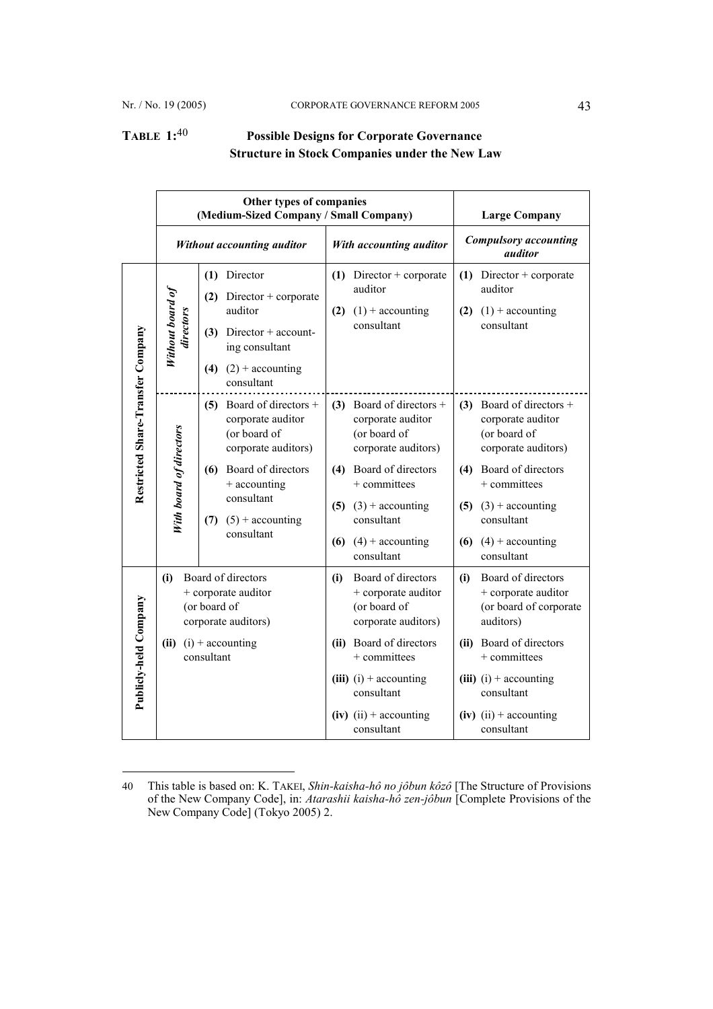l

# **TABLE 1:**[40](#page-8-0) **Possible Designs for Corporate Governance Structure in Stock Companies under the New Law**

|                                   | Other types of companies<br>(Medium-Sized Company / Small Company) |                                                                                                                                                                                          |                         |                                                                                                                                                                                                                           |                                         | <b>Large Company</b>                                                                                                                                                                                               |
|-----------------------------------|--------------------------------------------------------------------|------------------------------------------------------------------------------------------------------------------------------------------------------------------------------------------|-------------------------|---------------------------------------------------------------------------------------------------------------------------------------------------------------------------------------------------------------------------|-----------------------------------------|--------------------------------------------------------------------------------------------------------------------------------------------------------------------------------------------------------------------|
|                                   | Without accounting auditor                                         |                                                                                                                                                                                          | With accounting auditor |                                                                                                                                                                                                                           | <b>Compulsory</b> accounting<br>auditor |                                                                                                                                                                                                                    |
| Restricted Share-Transfer Company | Without board of<br>directors                                      | $(1)$ Director<br>$(2)$ Director + corporate<br>auditor<br>$(3)$ Director + account-<br>ing consultant<br>(4) $(2) + \text{accounting}$<br>consultant                                    | (2)                     | $(1)$ Director + corporate<br>auditor<br>$(1)$ + accounting<br>consultant                                                                                                                                                 |                                         | $(1)$ Director + corporate<br>auditor<br>$(2)$ $(1)$ + accounting<br>consultant                                                                                                                                    |
|                                   | With board of directors                                            | (5) Board of directors $+$<br>corporate auditor<br>(or board of<br>corporate auditors)<br>(6) Board of directors<br>+ accounting<br>consultant<br>$(7)$ $(5)$ + accounting<br>consultant |                         | (3) Board of directors $+$<br>corporate auditor<br>(or board of<br>corporate auditors)<br>(4) Board of directors<br>+ committees<br>$(5)$ $(3)$ + accounting<br>consultant<br>(6) $(4) + \text{accounting}$<br>consultant |                                         | (3) Board of directors $+$<br>corporate auditor<br>(or board of<br>corporate auditors)<br>(4) Board of directors<br>+ committees<br>$(5)$ $(3)$ + accounting<br>consultant<br>(6) $(4)$ + accounting<br>consultant |
| Publicly-held Company             | (i)                                                                | Board of directors<br>+ corporate auditor<br>(or board of<br>corporate auditors)<br>(ii) $(i) + \text{accounting}$<br>consultant                                                         | (i)                     | Board of directors<br>+ corporate auditor<br>(or board of<br>corporate auditors)<br>(ii) Board of directors<br>+ committees<br>(iii) $(i) +$ accounting<br>consultant<br>$(iv)$ (ii) + accounting<br>consultant           | (i)                                     | Board of directors<br>+ corporate auditor<br>(or board of corporate<br>auditors)<br>(ii) Board of directors<br>$+$ committees<br>(iii) $(i) +$ accounting<br>consultant<br>$(iv)$ (ii) + accounting<br>consultant  |

<span id="page-8-0"></span><sup>40</sup> This table is based on: K. TAKEI, *Shin-kaisha-hô no jôbun kôzô* [The Structure of Provisions of the New Company Code], in: *Atarashii kaisha-hô zen-jôbun* [Complete Provisions of the New Company Code] (Tokyo 2005) 2.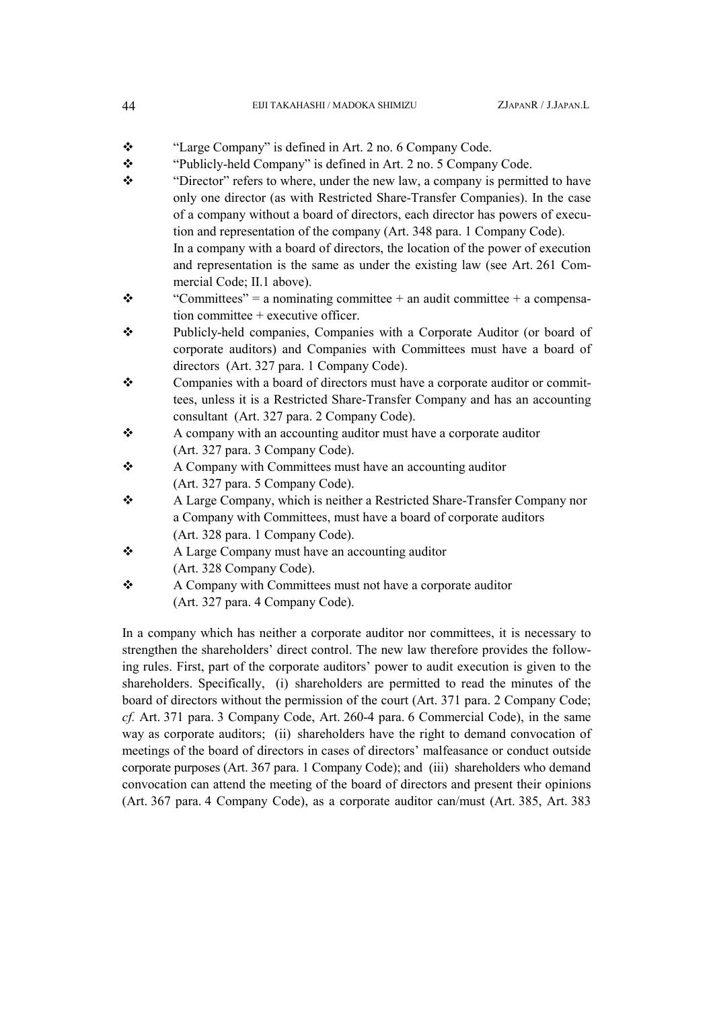| 44 | EIJI TAKAHASHI / MADOKA SHIMIZU | ZJAPANR / J.JAPAN.L |
|----|---------------------------------|---------------------|
|----|---------------------------------|---------------------|

- $\cdot$ "Large Company" is defined in Art. 2 no. 6 Company Code.
- $\cdot$ "Publicly-held Company" is defined in Art. 2 no. 5 Company Code.
- $\ddot{\bullet}$  "Director" refers to where, under the new law, a company is permitted to have only one director (as with Restricted Share-Transfer Companies). In the case of a company without a board of directors, each director has powers of execution and representation of the company (Art. 348 para. 1 Company Code). In a company with a board of directors, the location of the power of execution and representation is the same as under the existing law (see Art. 261 Commercial Code; II.1 above).
- $\cdot$ "Committees" = a nominating committee + an audit committee + a compensation committee + executive officer.
- $\cdot$  Publicly-held companies, Companies with a Corporate Auditor (or board of corporate auditors) and Companies with Committees must have a board of directors (Art. 327 para. 1 Company Code).
- $\ddot{\cdot}$  Companies with a board of directors must have a corporate auditor or committees, unless it is a Restricted Share-Transfer Company and has an accounting consultant (Art. 327 para. 2 Company Code).
- $\frac{1}{2}$  A company with an accounting auditor must have a corporate auditor (Art. 327 para. 3 Company Code).
- $\cdot$  A Company with Committees must have an accounting auditor (Art. 327 para. 5 Company Code).
- $\ddot{\cdot}$  A Large Company, which is neither a Restricted Share-Transfer Company nor a Company with Committees, must have a board of corporate auditors (Art. 328 para. 1 Company Code).
- $\frac{1}{2}$  A Large Company must have an accounting auditor (Art. 328 Company Code).
- $\ddot{\cdot}$  A Company with Committees must not have a corporate auditor (Art. 327 para. 4 Company Code).

In a company which has neither a corporate auditor nor committees, it is necessary to strengthen the shareholders' direct control. The new law therefore provides the following rules. First, part of the corporate auditors' power to audit execution is given to the shareholders. Specifically, (i) shareholders are permitted to read the minutes of the board of directors without the permission of the court (Art. 371 para. 2 Company Code; *cf.* Art. 371 para. 3 Company Code, Art. 260-4 para. 6 Commercial Code), in the same way as corporate auditors; (ii) shareholders have the right to demand convocation of meetings of the board of directors in cases of directors' malfeasance or conduct outside corporate purposes (Art. 367 para. 1 Company Code); and (iii) shareholders who demand convocation can attend the meeting of the board of directors and present their opinions (Art. 367 para. 4 Company Code), as a corporate auditor can/must (Art. 385, Art. 383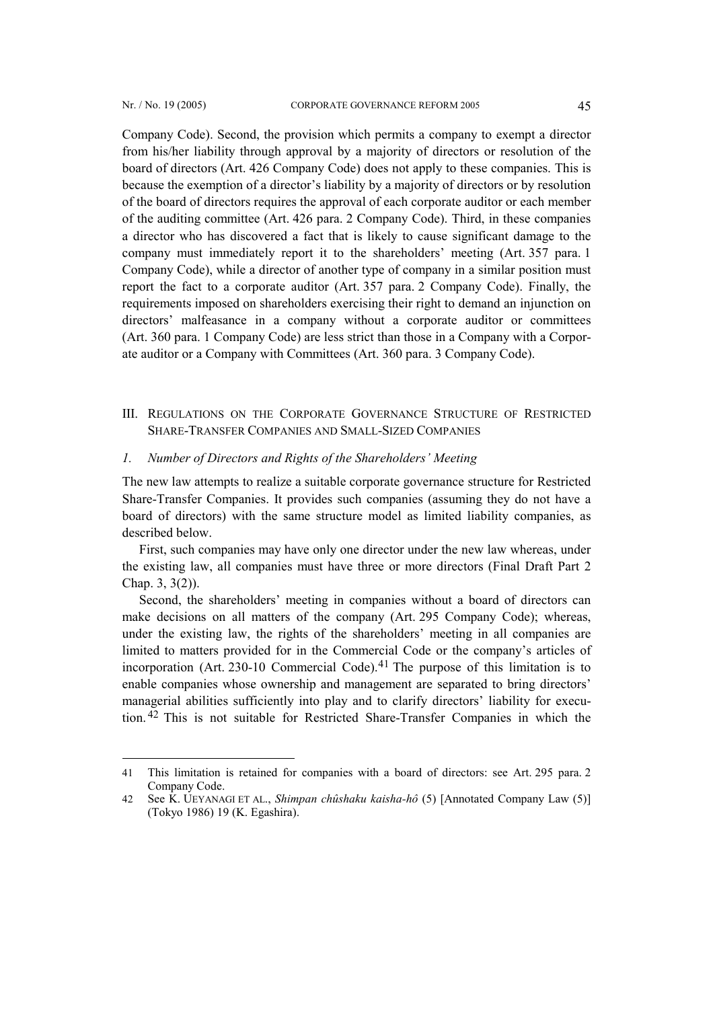l

Company Code). Second, the provision which permits a company to exempt a director

from his/her liability through approval by a majority of directors or resolution of the board of directors (Art. 426 Company Code) does not apply to these companies. This is because the exemption of a director's liability by a majority of directors or by resolution of the board of directors requires the approval of each corporate auditor or each member of the auditing committee (Art. 426 para. 2 Company Code). Third, in these companies a director who has discovered a fact that is likely to cause significant damage to the company must immediately report it to the shareholders' meeting (Art. 357 para. 1 Company Code), while a director of another type of company in a similar position must report the fact to a corporate auditor (Art. 357 para. 2 Company Code). Finally, the requirements imposed on shareholders exercising their right to demand an injunction on directors' malfeasance in a company without a corporate auditor or committees (Art. 360 para. 1 Company Code) are less strict than those in a Company with a Corporate auditor or a Company with Committees (Art. 360 para. 3 Company Code).

III. REGULATIONS ON THE CORPORATE GOVERNANCE STRUCTURE OF RESTRICTED SHARE-TRANSFER COMPANIES AND SMALL-SIZED COMPANIES

#### *1. Number of Directors and Rights of the Shareholders' Meeting*

The new law attempts to realize a suitable corporate governance structure for Restricted Share-Transfer Companies. It provides such companies (assuming they do not have a board of directors) with the same structure model as limited liability companies, as described below.

First, such companies may have only one director under the new law whereas, under the existing law, all companies must have three or more directors (Final Draft Part 2 Chap. 3, 3(2)).

Second, the shareholders' meeting in companies without a board of directors can make decisions on all matters of the company (Art. 295 Company Code); whereas, under the existing law, the rights of the shareholders' meeting in all companies are limited to matters provided for in the Commercial Code or the company's articles of incorporation (Art. 230-10 Commercial Code).<sup>[41](#page-10-0)</sup> The purpose of this limitation is to enable companies whose ownership and management are separated to bring directors' managerial abilities sufficiently into play and to clarify directors' liability for execution. [42](#page-10-1) This is not suitable for Restricted Share-Transfer Companies in which the

<span id="page-10-0"></span><sup>41</sup> This limitation is retained for companies with a board of directors: see Art. 295 para. 2 Company Code.

<span id="page-10-1"></span><sup>42</sup> See K. UEYANAGI ET AL., *Shimpan chûshaku kaisha-hô* (5) [Annotated Company Law (5)] (Tokyo 1986) 19 (K. Egashira).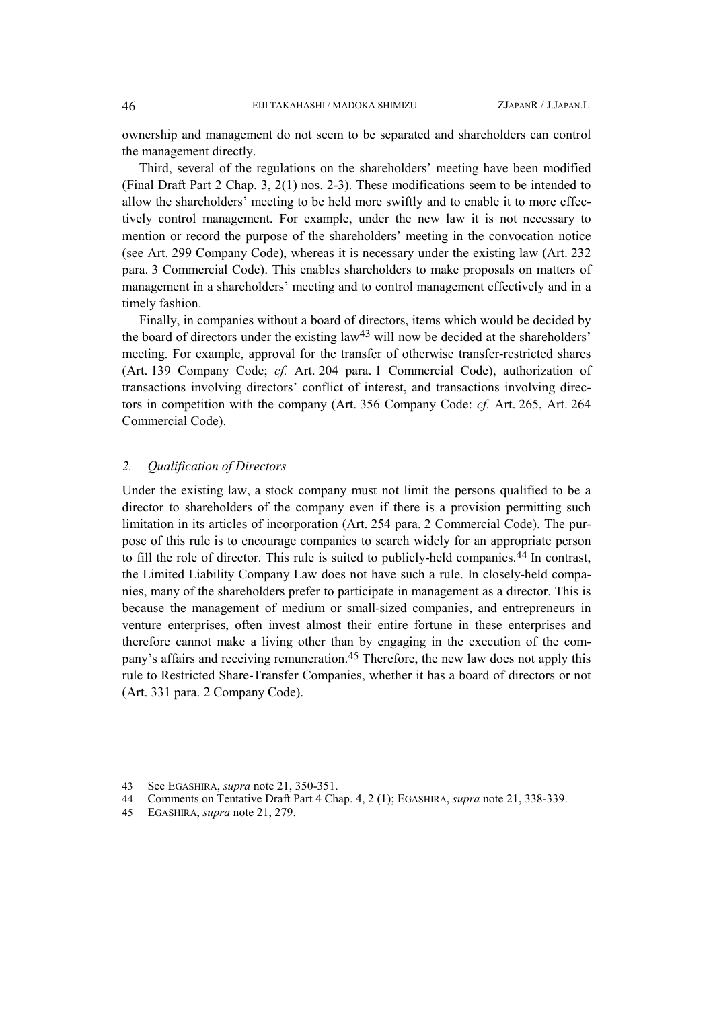ownership and management do not seem to be separated and shareholders can control the management directly.

Third, several of the regulations on the shareholders' meeting have been modified (Final Draft Part 2 Chap. 3, 2(1) nos. 2-3). These modifications seem to be intended to allow the shareholders' meeting to be held more swiftly and to enable it to more effectively control management. For example, under the new law it is not necessary to mention or record the purpose of the shareholders' meeting in the convocation notice (see Art. 299 Company Code), whereas it is necessary under the existing law (Art. 232 para. 3 Commercial Code). This enables shareholders to make proposals on matters of management in a shareholders' meeting and to control management effectively and in a timely fashion.

Finally, in companies without a board of directors, items which would be decided by the board of directors under the existing law $43$  will now be decided at the shareholders' meeting. For example, approval for the transfer of otherwise transfer-restricted shares (Art. 139 Company Code; *cf.* Art. 204 para. 1 Commercial Code), authorization of transactions involving directors' conflict of interest, and transactions involving directors in competition with the company (Art. 356 Company Code: *cf.* Art. 265, Art. 264 Commercial Code).

#### *2. Qualification of Directors*

Under the existing law, a stock company must not limit the persons qualified to be a director to shareholders of the company even if there is a provision permitting such limitation in its articles of incorporation (Art. 254 para. 2 Commercial Code). The purpose of this rule is to encourage companies to search widely for an appropriate person to fill the role of director. This rule is suited to publicly-held companies.[44](#page-11-1) In contrast, the Limited Liability Company Law does not have such a rule. In closely-held companies, many of the shareholders prefer to participate in management as a director. This is because the management of medium or small-sized companies, and entrepreneurs in venture enterprises, often invest almost their entire fortune in these enterprises and therefore cannot make a living other than by engaging in the execution of the company's affairs and receiving remuneration.[45](#page-11-2) Therefore, the new law does not apply this rule to Restricted Share-Transfer Companies, whether it has a board of directors or not (Art. 331 para. 2 Company Code).

<span id="page-11-0"></span><sup>43</sup> See EGASHIRA, *supra* note 21, 350-351.

<span id="page-11-1"></span><sup>44</sup> Comments on Tentative Draft Part 4 Chap. 4, 2 (1); EGASHIRA, *supra* note 21, 338-339.

<span id="page-11-2"></span><sup>45</sup> EGASHIRA, *supra* note 21, 279.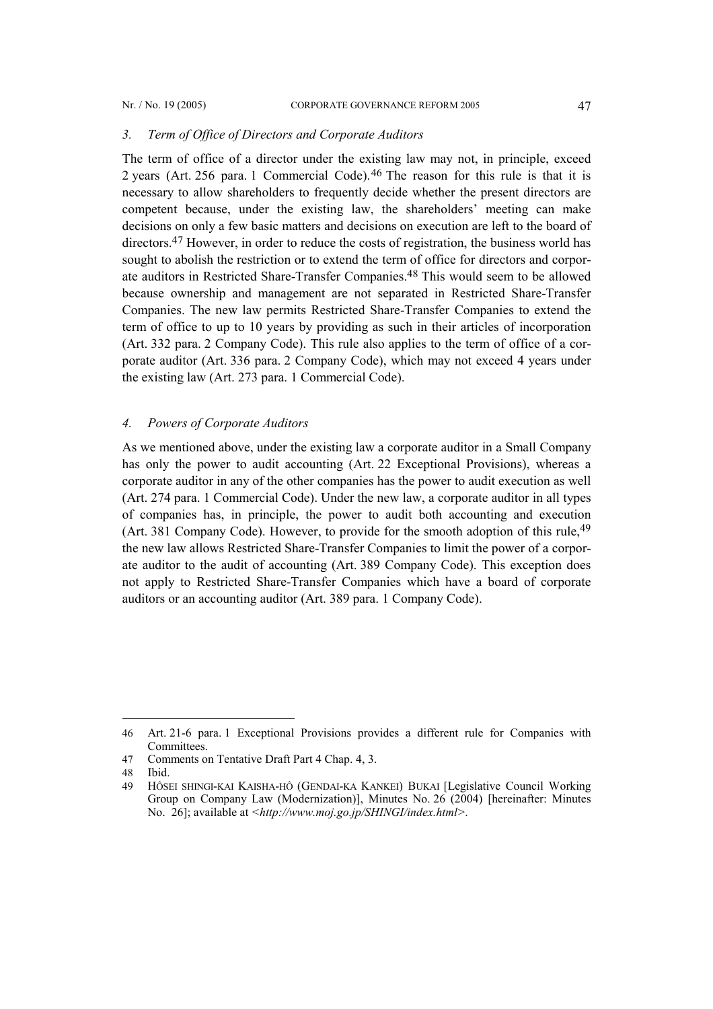#### *3. Term of Office of Directors and Corporate Auditors*

The term of office of a director under the existing law may not, in principle, exceed 2 years (Art. 256 para. 1 Commercial Code).[46](#page-12-0) The reason for this rule is that it is necessary to allow shareholders to frequently decide whether the present directors are competent because, under the existing law, the shareholders' meeting can make decisions on only a few basic matters and decisions on execution are left to the board of directors.[47](#page-12-1) However, in order to reduce the costs of registration, the business world has sought to abolish the restriction or to extend the term of office for directors and corporate auditors in Restricted Share-Transfer Companies.[48](#page-12-2) This would seem to be allowed because ownership and management are not separated in Restricted Share-Transfer Companies. The new law permits Restricted Share-Transfer Companies to extend the term of office to up to 10 years by providing as such in their articles of incorporation (Art. 332 para. 2 Company Code). This rule also applies to the term of office of a corporate auditor (Art. 336 para. 2 Company Code), which may not exceed 4 years under the existing law (Art. 273 para. 1 Commercial Code).

### *4. Powers of Corporate Auditors*

As we mentioned above, under the existing law a corporate auditor in a Small Company has only the power to audit accounting (Art. 22 Exceptional Provisions), whereas a corporate auditor in any of the other companies has the power to audit execution as well (Art. 274 para. 1 Commercial Code). Under the new law, a corporate auditor in all types of companies has, in principle, the power to audit both accounting and execution (Art. 381 Company Code). However, to provide for the smooth adoption of this rule,[49](#page-12-3) the new law allows Restricted Share-Transfer Companies to limit the power of a corporate auditor to the audit of accounting (Art. 389 Company Code). This exception does not apply to Restricted Share-Transfer Companies which have a board of corporate auditors or an accounting auditor (Art. 389 para. 1 Company Code).

<span id="page-12-0"></span><sup>46</sup> Art. 21-6 para. 1 Exceptional Provisions provides a different rule for Companies with Committees.

<span id="page-12-1"></span><sup>47</sup> Comments on Tentative Draft Part 4 Chap. 4, 3.

<span id="page-12-2"></span><sup>48</sup> Ibid.

<span id="page-12-3"></span><sup>49</sup> HÔSEI SHINGI-KAI KAISHA-HÔ (GENDAI-KA KANKEI) BUKAI [Legislative Council Working Group on Company Law (Modernization)], Minutes No. 26 (2004) [hereinafter: Minutes No. 26]; available at *<http://www.moj.go.jp/SHINGI/index.html>.*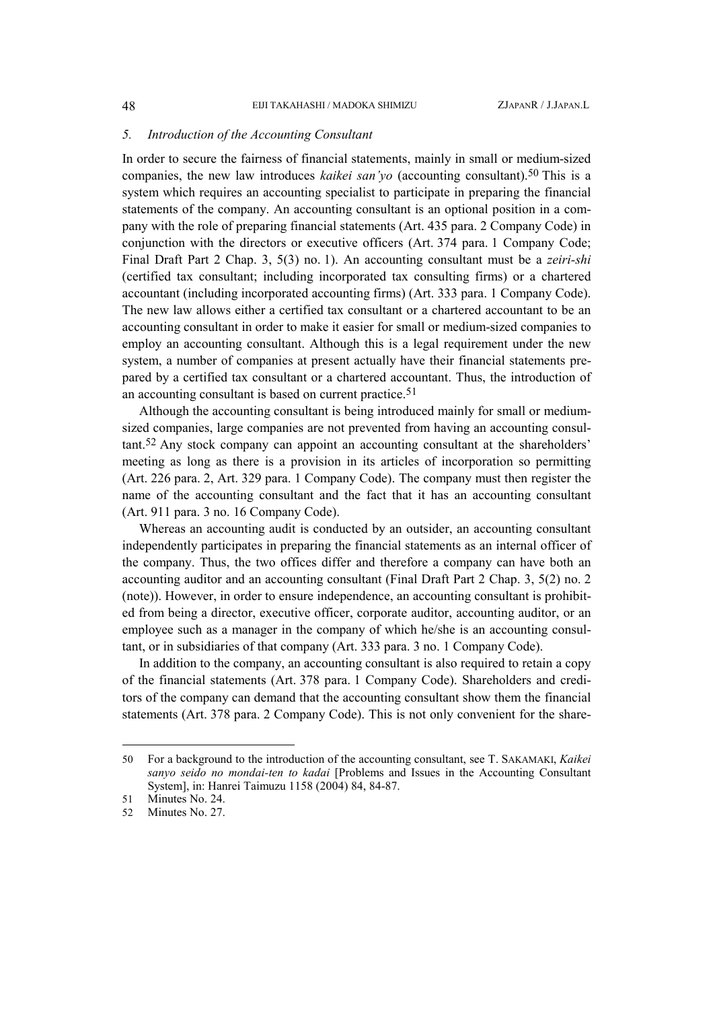### *5. Introduction of the Accounting Consultant*

In order to secure the fairness of financial statements, mainly in small or medium-sized companies, the new law introduces *kaikei san'yo* (accounting consultant).[50](#page-13-0) This is a system which requires an accounting specialist to participate in preparing the financial statements of the company. An accounting consultant is an optional position in a company with the role of preparing financial statements (Art. 435 para. 2 Company Code) in conjunction with the directors or executive officers (Art. 374 para. 1 Company Code; Final Draft Part 2 Chap. 3, 5(3) no. 1). An accounting consultant must be a *zeiri-shi*  (certified tax consultant; including incorporated tax consulting firms) or a chartered accountant (including incorporated accounting firms) (Art. 333 para. 1 Company Code). The new law allows either a certified tax consultant or a chartered accountant to be an accounting consultant in order to make it easier for small or medium-sized companies to employ an accounting consultant. Although this is a legal requirement under the new system, a number of companies at present actually have their financial statements prepared by a certified tax consultant or a chartered accountant. Thus, the introduction of an accounting consultant is based on current practice.<sup>[51](#page-13-1)</sup>

Although the accounting consultant is being introduced mainly for small or mediumsized companies, large companies are not prevented from having an accounting consultant.[52](#page-13-2) Any stock company can appoint an accounting consultant at the shareholders' meeting as long as there is a provision in its articles of incorporation so permitting (Art. 226 para. 2, Art. 329 para. 1 Company Code). The company must then register the name of the accounting consultant and the fact that it has an accounting consultant (Art. 911 para. 3 no. 16 Company Code).

Whereas an accounting audit is conducted by an outsider, an accounting consultant independently participates in preparing the financial statements as an internal officer of the company. Thus, the two offices differ and therefore a company can have both an accounting auditor and an accounting consultant (Final Draft Part 2 Chap. 3, 5(2) no. 2 (note)). However, in order to ensure independence, an accounting consultant is prohibited from being a director, executive officer, corporate auditor, accounting auditor, or an employee such as a manager in the company of which he/she is an accounting consultant, or in subsidiaries of that company (Art. 333 para. 3 no. 1 Company Code).

In addition to the company, an accounting consultant is also required to retain a copy of the financial statements (Art. 378 para. 1 Company Code). Shareholders and creditors of the company can demand that the accounting consultant show them the financial statements (Art. 378 para. 2 Company Code). This is not only convenient for the share-

<span id="page-13-0"></span><sup>50</sup> For a background to the introduction of the accounting consultant, see T. SAKAMAKI, *Kaikei sanyo seido no mondai-ten to kadai* [Problems and Issues in the Accounting Consultant System], in: Hanrei Taimuzu 1158 (2004) 84, 84-87.

<span id="page-13-1"></span><sup>51</sup> Minutes No. 24.

<span id="page-13-2"></span><sup>52</sup> Minutes No. 27.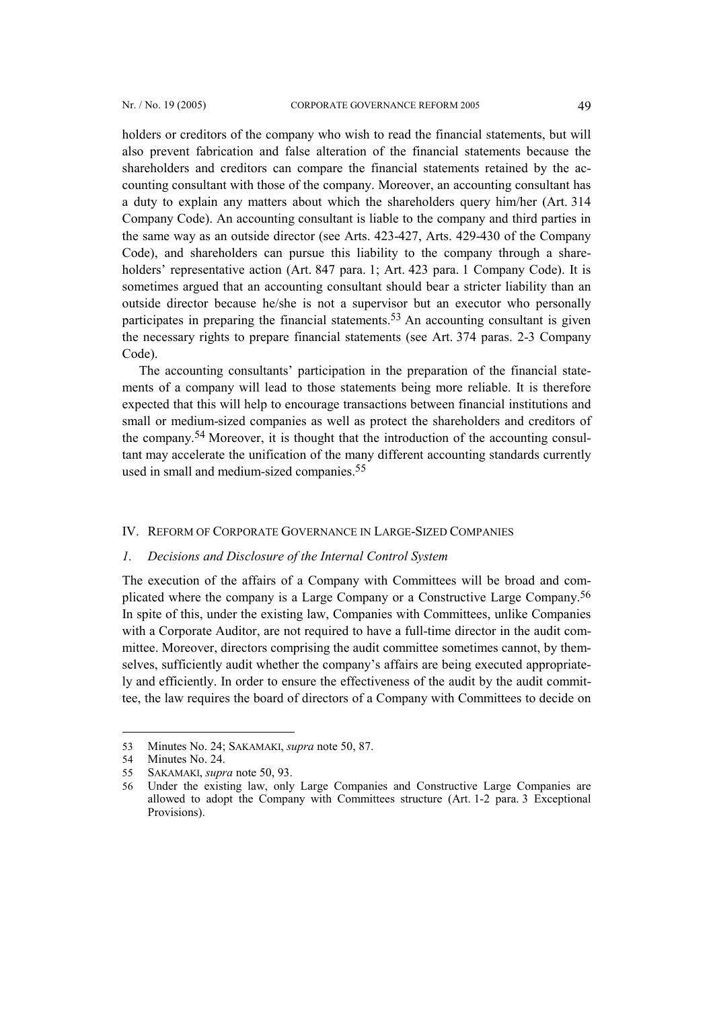holders or creditors of the company who wish to read the financial statements, but will also prevent fabrication and false alteration of the financial statements because the shareholders and creditors can compare the financial statements retained by the accounting consultant with those of the company. Moreover, an accounting consultant has a duty to explain any matters about which the shareholders query him/her (Art. 314 Company Code). An accounting consultant is liable to the company and third parties in the same way as an outside director (see Arts. 423-427, Arts. 429-430 of the Company Code), and shareholders can pursue this liability to the company through a shareholders' representative action (Art. 847 para. 1; Art. 423 para. 1 Company Code). It is sometimes argued that an accounting consultant should bear a stricter liability than an outside director because he/she is not a supervisor but an executor who personally participates in preparing the financial statements.<sup>[53](#page-14-0)</sup> An accounting consultant is given the necessary rights to prepare financial statements (see Art. 374 paras. 2-3 Company Code).

The accounting consultants' participation in the preparation of the financial statements of a company will lead to those statements being more reliable. It is therefore expected that this will help to encourage transactions between financial institutions and small or medium-sized companies as well as protect the shareholders and creditors of the company. [54](#page-14-1) Moreover, it is thought that the introduction of the accounting consultant may accelerate the unification of the many different accounting standards currently used in small and medium-sized companies.[55](#page-14-2)

#### IV. REFORM OF CORPORATE GOVERNANCE IN LARGE-SIZED COMPANIES

## *1. Decisions and Disclosure of the Internal Control System*

The execution of the affairs of a Company with Committees will be broad and complicated where the company is a Large Company or a Constructive Large Company. [56](#page-14-3) In spite of this, under the existing law, Companies with Committees, unlike Companies with a Corporate Auditor, are not required to have a full-time director in the audit committee. Moreover, directors comprising the audit committee sometimes cannot, by themselves, sufficiently audit whether the company's affairs are being executed appropriately and efficiently. In order to ensure the effectiveness of the audit by the audit committee, the law requires the board of directors of a Company with Committees to decide on

 $\overline{a}$ 

<span id="page-14-0"></span><sup>53</sup> Minutes No. 24; SAKAMAKI, *supra* note 50, 87.

<span id="page-14-1"></span><sup>54</sup> Minutes No. 24.

<span id="page-14-2"></span><sup>55</sup> SAKAMAKI, *supra* note 50, 93.

<span id="page-14-3"></span><sup>56</sup> Under the existing law, only Large Companies and Constructive Large Companies are allowed to adopt the Company with Committees structure (Art. 1-2 para. 3 Exceptional Provisions).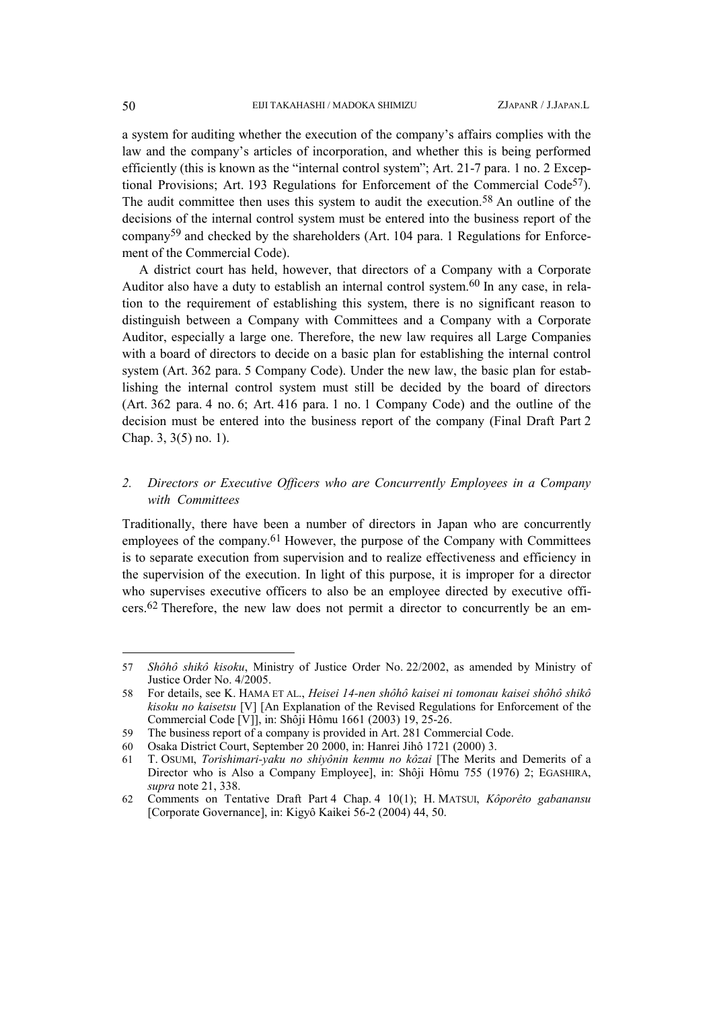a system for auditing whether the execution of the company's affairs complies with the law and the company's articles of incorporation, and whether this is being performed efficiently (this is known as the "internal control system"; Art. 21-7 para. 1 no. 2 Exceptional Provisions; Art. 193 Regulations for Enforcement of the Commercial Code[57\)](#page-15-0). The audit committee then uses this system to audit the execution.<sup>[58](#page-15-1)</sup> An outline of the decisions of the internal control system must be entered into the business report of the compan[y59](#page-15-2) and checked by the shareholders (Art. 104 para. 1 Regulations for Enforcement of the Commercial Code).

A district court has held, however, that directors of a Company with a Corporate Auditor also have a duty to establish an internal control system.<sup>[60](#page-15-3)</sup> In any case, in relation to the requirement of establishing this system, there is no significant reason to distinguish between a Company with Committees and a Company with a Corporate Auditor, especially a large one. Therefore, the new law requires all Large Companies with a board of directors to decide on a basic plan for establishing the internal control system (Art. 362 para. 5 Company Code). Under the new law, the basic plan for establishing the internal control system must still be decided by the board of directors (Art. 362 para. 4 no. 6; Art. 416 para. 1 no. 1 Company Code) and the outline of the decision must be entered into the business report of the company (Final Draft Part 2 Chap. 3, 3(5) no. 1).

## *2. Directors or Executive Officers who are Concurrently Employees in a Company with Committees*

Traditionally, there have been a number of directors in Japan who are concurrently employees of the company.<sup>[61](#page-15-4)</sup> However, the purpose of the Company with Committees is to separate execution from supervision and to realize effectiveness and efficiency in the supervision of the execution. In light of this purpose, it is improper for a director who supervises executive officers to also be an employee directed by executive officers.[62](#page-15-5) Therefore, the new law does not permit a director to concurrently be an em-

<span id="page-15-0"></span><sup>57</sup> *Shôhô shikô kisoku*, Ministry of Justice Order No. 22/2002, as amended by Ministry of Justice Order No. 4/2005.

<span id="page-15-1"></span><sup>58</sup> For details, see K. HAMA ET AL., *Heisei 14-nen shôhô kaisei ni tomonau kaisei shôhô shikô kisoku no kaisetsu* [V] [An Explanation of the Revised Regulations for Enforcement of the Commercial Code [V]], in: Shôji Hômu 1661 (2003) 19, 25-26.

<span id="page-15-2"></span><sup>59</sup> The business report of a company is provided in Art. 281 Commercial Code.

<span id="page-15-3"></span><sup>60</sup> Osaka District Court, September 20 2000, in: Hanrei Jihô 1721 (2000) 3.

<span id="page-15-4"></span><sup>61</sup> T. OSUMI, *Torishimari-yaku no shiyônin kenmu no kôzai* [The Merits and Demerits of a Director who is Also a Company Employee], in: Shôji Hômu 755 (1976) 2; EGASHIRA, *supra* note 21, 338.

<span id="page-15-5"></span><sup>62</sup> Comments on Tentative Draft Part 4 Chap. 4 10(1); H. MATSUI, *Kôporêto gabanansu* [Corporate Governance], in: Kigyô Kaikei 56-2 (2004) 44, 50.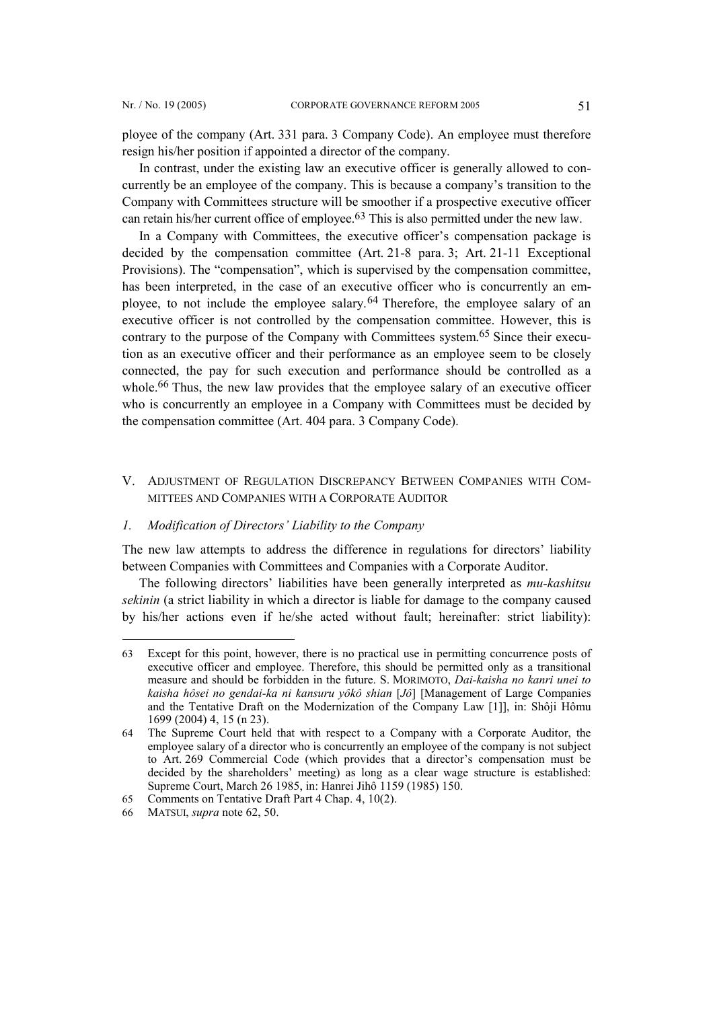ployee of the company (Art. 331 para. 3 Company Code). An employee must therefore resign his/her position if appointed a director of the company.

In contrast, under the existing law an executive officer is generally allowed to concurrently be an employee of the company. This is because a company's transition to the Company with Committees structure will be smoother if a prospective executive officer can retain his/her current office of employee[.63](#page-16-0) This is also permitted under the new law.

In a Company with Committees, the executive officer's compensation package is decided by the compensation committee (Art. 21-8 para. 3; Art. 21-11 Exceptional Provisions). The "compensation", which is supervised by the compensation committee, has been interpreted, in the case of an executive officer who is concurrently an employee, to not include the employee salary.[64](#page-16-1) Therefore, the employee salary of an executive officer is not controlled by the compensation committee. However, this is contrary to the purpose of the Company with Committees system. [65](#page-16-2) Since their execution as an executive officer and their performance as an employee seem to be closely connected, the pay for such execution and performance should be controlled as a whole.<sup>[66](#page-16-3)</sup> Thus, the new law provides that the employee salary of an executive officer who is concurrently an employee in a Company with Committees must be decided by the compensation committee (Art. 404 para. 3 Company Code).

## V. ADJUSTMENT OF REGULATION DISCREPANCY BETWEEN COMPANIES WITH COM-MITTEES AND COMPANIES WITH A CORPORATE AUDITOR

### *1. Modification of Directors' Liability to the Company*

The new law attempts to address the difference in regulations for directors' liability between Companies with Committees and Companies with a Corporate Auditor.

The following directors' liabilities have been generally interpreted as *mu-kashitsu sekinin* (a strict liability in which a director is liable for damage to the company caused by his/her actions even if he/she acted without fault; hereinafter: strict liability):

<span id="page-16-0"></span><sup>63</sup> Except for this point, however, there is no practical use in permitting concurrence posts of executive officer and employee. Therefore, this should be permitted only as a transitional measure and should be forbidden in the future. S. MORIMOTO, *Dai-kaisha no kanri unei to kaisha hôsei no gendai-ka ni kansuru yôkô shian* [*Jô*] [Management of Large Companies and the Tentative Draft on the Modernization of the Company Law [1]], in: Shôji Hômu 1699 (2004) 4, 15 (n 23).

<span id="page-16-1"></span><sup>64</sup> The Supreme Court held that with respect to a Company with a Corporate Auditor, the employee salary of a director who is concurrently an employee of the company is not subject to Art. 269 Commercial Code (which provides that a director's compensation must be decided by the shareholders' meeting) as long as a clear wage structure is established: Supreme Court, March 26 1985, in: Hanrei Jihô 1159 (1985) 150.

<span id="page-16-2"></span><sup>65</sup> Comments on Tentative Draft Part 4 Chap. 4, 10(2).

<span id="page-16-3"></span><sup>66</sup> MATSUI, *supra* note 62, 50.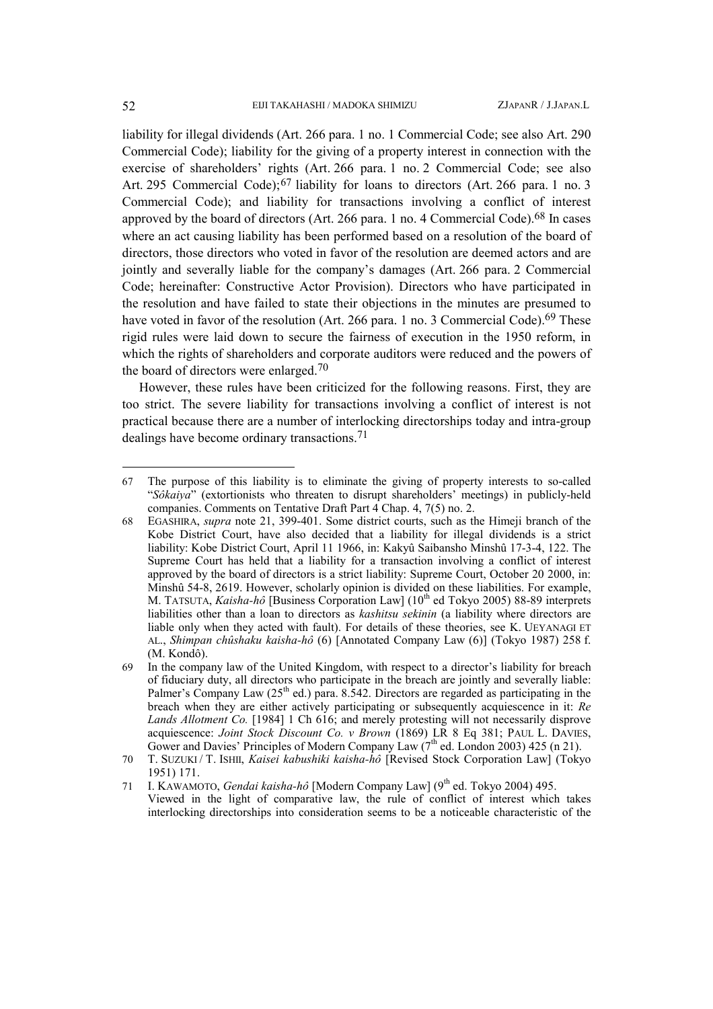<span id="page-17-4"></span>liability for illegal dividends (Art. 266 para. 1 no. 1 Commercial Code; see also Art. 290 Commercial Code); liability for the giving of a property interest in connection with the exercise of shareholders' rights (Art. 266 para. 1 no. 2 Commercial Code; see also Art. 295 Commercial Code);<sup>[67](#page-17-0)</sup> liability for loans to directors (Art. 266 para. 1 no. 3 Commercial Code); and liability for transactions involving a conflict of interest approved by the board of directors (Art. 266 para. 1 no. 4 Commercial Code)[.68](#page-17-1) In cases where an act causing liability has been performed based on a resolution of the board of directors, those directors who voted in favor of the resolution are deemed actors and are jointly and severally liable for the company's damages (Art. 266 para. 2 Commercial Code; hereinafter: Constructive Actor Provision). Directors who have participated in the resolution and have failed to state their objections in the minutes are presumed to have voted in favor of the resolution (Art. 266 para. 1 no. 3 Commercial Code).<sup>69</sup> These rigid rules were laid down to secure the fairness of execution in the 1950 reform, in which the rights of shareholders and corporate auditors were reduced and the powers of the board of directors were enlarged.[70](#page-17-3)

However, these rules have been criticized for the following reasons. First, they are too strict. The severe liability for transactions involving a conflict of interest is not practical because there are a number of interlocking directorships today and intra-group dealings have become ordinary transactions.[71](#page-17-4)

 $\overline{a}$ 

<span id="page-17-0"></span><sup>67</sup> The purpose of this liability is to eliminate the giving of property interests to so-called "*Sôkaiya*" (extortionists who threaten to disrupt shareholders' meetings) in publicly-held companies. Comments on Tentative Draft Part 4 Chap. 4, 7(5) no. 2.

<span id="page-17-1"></span><sup>68</sup> EGASHIRA, *supra* note 21, 399-401. Some district courts, such as the Himeji branch of the Kobe District Court, have also decided that a liability for illegal dividends is a strict liability: Kobe District Court, April 11 1966, in: Kakyû Saibansho Minshû 17-3-4, 122. The Supreme Court has held that a liability for a transaction involving a conflict of interest approved by the board of directors is a strict liability: Supreme Court, October 20 2000, in: Minshû 54-8, 2619. However, scholarly opinion is divided on these liabilities. For example, M. TATSUTA, *Kaisha-hô* [Business Corporation Law] (10<sup>th</sup> ed Tokyo 2005) 88-89 interprets liabilities other than a loan to directors as *kashitsu sekinin* (a liability where directors are liable only when they acted with fault). For details of these theories, see K. UEYANAGI ET AL., *Shimpan chûshaku kaisha-hô* (6) [Annotated Company Law (6)] (Tokyo 1987) 258 f. (M. Kondô).

<span id="page-17-2"></span><sup>69</sup> In the company law of the United Kingdom, with respect to a director's liability for breach of fiduciary duty, all directors who participate in the breach are jointly and severally liable: Palmer's Company Law  $(25<sup>th</sup>$  ed.) para. 8.542. Directors are regarded as participating in the breach when they are either actively participating or subsequently acquiescence in it: *Re Lands Allotment Co.* [1984] 1 Ch 616; and merely protesting will not necessarily disprove acquiescence: *Joint Stock Discount Co. v Brown* (1869) LR 8 Eq 381; PAUL L. DAVIES, Gower and Davies' Principles of Modern Company Law  $(7<sup>th</sup>$  ed. London 2003) 425 (n 21).

<span id="page-17-3"></span><sup>70</sup> T. SUZUKI / T. ISHII, *Kaisei kabushiki kaisha-hô* [Revised Stock Corporation Law] (Tokyo 1951) 171.

<sup>71</sup> I. KAWAMOTO, *Gendai kaisha-hô* [Modern Company Law] (9<sup>th</sup> ed. Tokyo 2004) 495. Viewed in the light of comparative law, the rule of conflict of interest which takes interlocking directorships into consideration seems to be a noticeable characteristic of the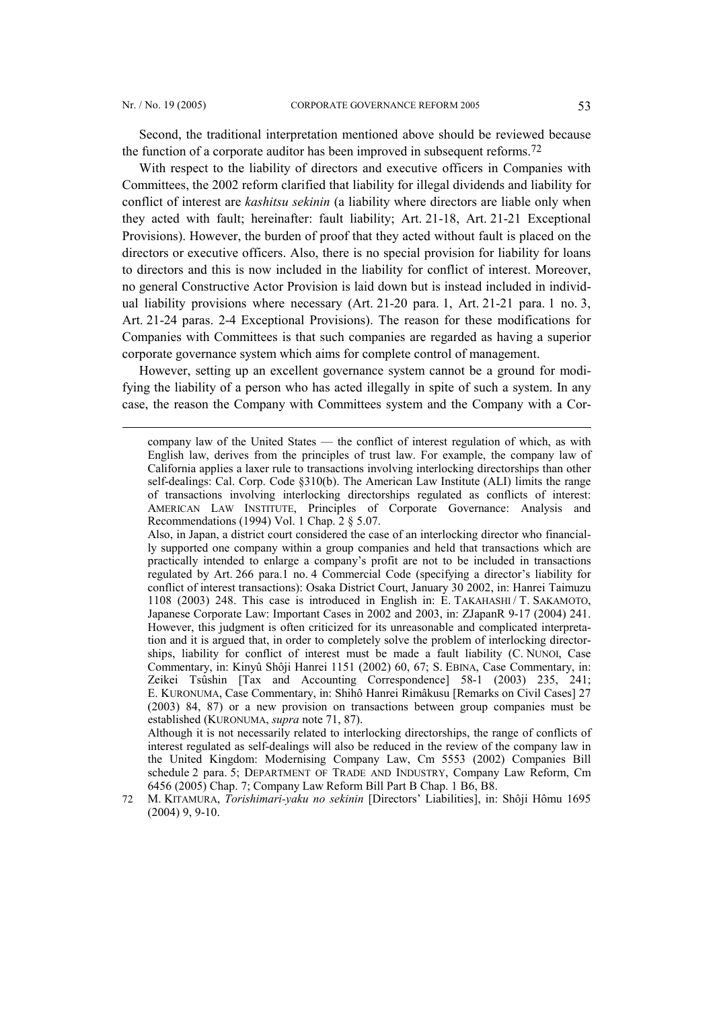l

Second, the traditional interpretation mentioned above should be reviewed because the function of a corporate auditor has been improved in subsequent reforms.[72](#page-18-0)

With respect to the liability of directors and executive officers in Companies with Committees, the 2002 reform clarified that liability for illegal dividends and liability for conflict of interest are *kashitsu sekinin* (a liability where directors are liable only when they acted with fault; hereinafter: fault liability; Art. 21-18, Art. 21-21 Exceptional Provisions). However, the burden of proof that they acted without fault is placed on the directors or executive officers. Also, there is no special provision for liability for loans to directors and this is now included in the liability for conflict of interest. Moreover, no general Constructive Actor Provision is laid down but is instead included in individual liability provisions where necessary (Art. 21-20 para. 1, Art. 21-21 para. 1 no. 3, Art. 21-24 paras. 2-4 Exceptional Provisions). The reason for these modifications for Companies with Committees is that such companies are regarded as having a superior corporate governance system which aims for complete control of management.

However, setting up an excellent governance system cannot be a ground for modifying the liability of a person who has acted illegally in spite of such a system. In any case, the reason the Company with Committees system and the Company with a Cor-

Although it is not necessarily related to interlocking directorships, the range of conflicts of interest regulated as self-dealings will also be reduced in the review of the company law in the United Kingdom: Modernising Company Law, Cm 5553 (2002) Companies Bill schedule 2 para. 5; DEPARTMENT OF TRADE AND INDUSTRY, Company Law Reform, Cm 6456 (2005) Chap. 7; Company Law Reform Bill Part B Chap. 1 B6, B8.

company law of the United States — the conflict of interest regulation of which, as with English law, derives from the principles of trust law. For example, the company law of California applies a laxer rule to transactions involving interlocking directorships than other self-dealings: Cal. Corp. Code §310(b). The American Law Institute (ALI) limits the range of transactions involving interlocking directorships regulated as conflicts of interest: AMERICAN LAW INSTITUTE, Principles of Corporate Governance: Analysis and Recommendations (1994) Vol. 1 Chap. 2 § 5.07.

Also, in Japan, a district court considered the case of an interlocking director who financially supported one company within a group companies and held that transactions which are practically intended to enlarge a company's profit are not to be included in transactions regulated by Art. 266 para.1 no. 4 Commercial Code (specifying a director's liability for conflict of interest transactions): Osaka District Court, January 30 2002, in: Hanrei Taimuzu 1108 (2003) 248. This case is introduced in English in: E. TAKAHASHI / T. SAKAMOTO, Japanese Corporate Law: Important Cases in 2002 and 2003, in: ZJapanR 9-17 (2004) 241. However, this judgment is often criticized for its unreasonable and complicated interpretation and it is argued that, in order to completely solve the problem of interlocking directorships, liability for conflict of interest must be made a fault liability (C. NUNOI, Case Commentary, in: Kinyû Shôji Hanrei 1151 (2002) 60, 67; S. EBINA, Case Commentary, in: Zeikei Tsûshin [Tax and Accounting Correspondence] 58-1 (2003) 235, 241; E. KURONUMA, Case Commentary, in: Shihô Hanrei Rimâkusu [Remarks on Civil Cases] 27 (2003) 84, 87) or a new provision on transactions between group companies must be established (KURONUMA, *supra* note 71, 87).

<span id="page-18-0"></span><sup>72</sup> M. KITAMURA, *Torishimari-yaku no sekinin* [Directors' Liabilities], in: Shôji Hômu 1695 (2004) 9, 9-10.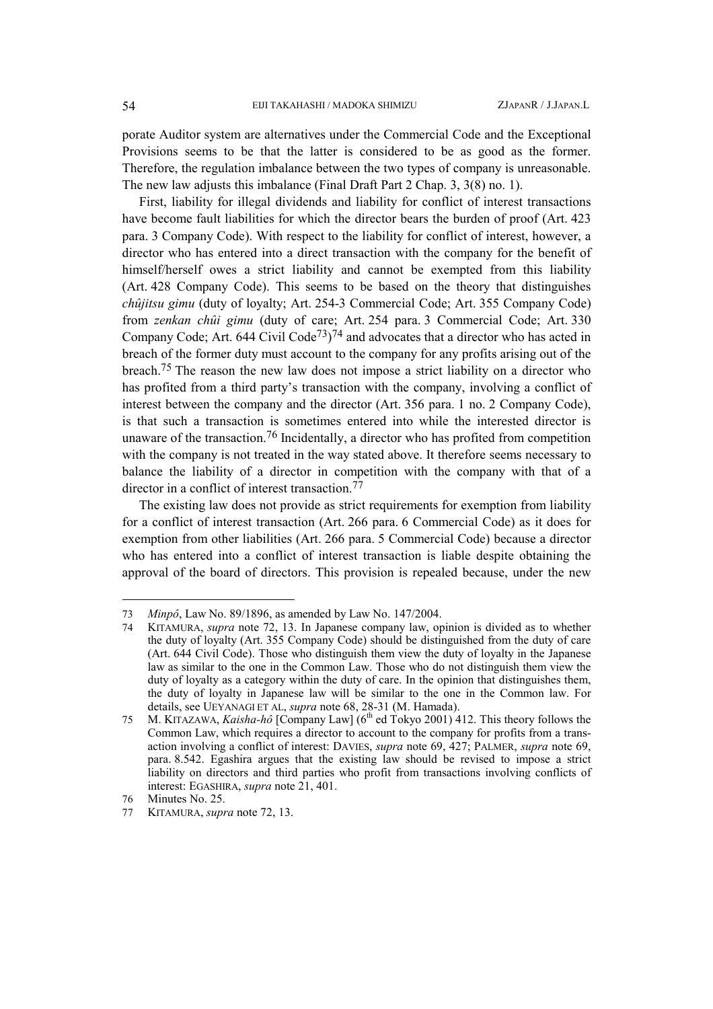porate Auditor system are alternatives under the Commercial Code and the Exceptional Provisions seems to be that the latter is considered to be as good as the former. Therefore, the regulation imbalance between the two types of company is unreasonable. The new law adjusts this imbalance (Final Draft Part 2 Chap. 3, 3(8) no. 1).

First, liability for illegal dividends and liability for conflict of interest transactions have become fault liabilities for which the director bears the burden of proof (Art. 423 para. 3 Company Code). With respect to the liability for conflict of interest, however, a director who has entered into a direct transaction with the company for the benefit of himself/herself owes a strict liability and cannot be exempted from this liability (Art. 428 Company Code). This seems to be based on the theory that distinguishes *chûjitsu gimu* (duty of loyalty; Art. 254-3 Commercial Code; Art. 355 Company Code) from *zenkan chûi gimu* (duty of care; Art. 254 para. 3 Commercial Code; Art. 330 Company Code; Art. 644 Civil Code<sup>73</sup>)<sup>[74](#page-19-1)</sup> and advocates that a director who has acted in breach of the former duty must account to the company for any profits arising out of the breach.[75](#page-19-2) The reason the new law does not impose a strict liability on a director who has profited from a third party's transaction with the company, involving a conflict of interest between the company and the director (Art. 356 para. 1 no. 2 Company Code), is that such a transaction is sometimes entered into while the interested director is unaware of the transaction.<sup>[76](#page-19-3)</sup> Incidentally, a director who has profited from competition with the company is not treated in the way stated above. It therefore seems necessary to balance the liability of a director in competition with the company with that of a director in a conflict of interest transaction.[77](#page-19-4)

The existing law does not provide as strict requirements for exemption from liability for a conflict of interest transaction (Art. 266 para. 6 Commercial Code) as it does for exemption from other liabilities (Art. 266 para. 5 Commercial Code) because a director who has entered into a conflict of interest transaction is liable despite obtaining the approval of the board of directors. This provision is repealed because, under the new

<span id="page-19-0"></span><sup>73</sup> *Minpô*, Law No. 89/1896, as amended by Law No. 147/2004.

<span id="page-19-1"></span><sup>74</sup> KITAMURA, *supra* note 72, 13. In Japanese company law, opinion is divided as to whether the duty of loyalty (Art. 355 Company Code) should be distinguished from the duty of care (Art. 644 Civil Code). Those who distinguish them view the duty of loyalty in the Japanese law as similar to the one in the Common Law. Those who do not distinguish them view the duty of loyalty as a category within the duty of care. In the opinion that distinguishes them, the duty of loyalty in Japanese law will be similar to the one in the Common law. For details, see UEYANAGI ET AL, *supra* note 68, 28-31 (M. Hamada).

<span id="page-19-2"></span><sup>75</sup> M. KITAZAWA, *Kaisha-hô* [Company Law] (6th ed Tokyo 2001) 412. This theory follows the Common Law, which requires a director to account to the company for profits from a transaction involving a conflict of interest: DAVIES, *supra* note 69, 427; PALMER, *supra* note 69, para. 8.542. Egashira argues that the existing law should be revised to impose a strict liability on directors and third parties who profit from transactions involving conflicts of interest: EGASHIRA, *supra* note 21, 401.

<span id="page-19-3"></span><sup>76</sup> Minutes No. 25.

<span id="page-19-4"></span><sup>77</sup> KITAMURA, *supra* note 72, 13.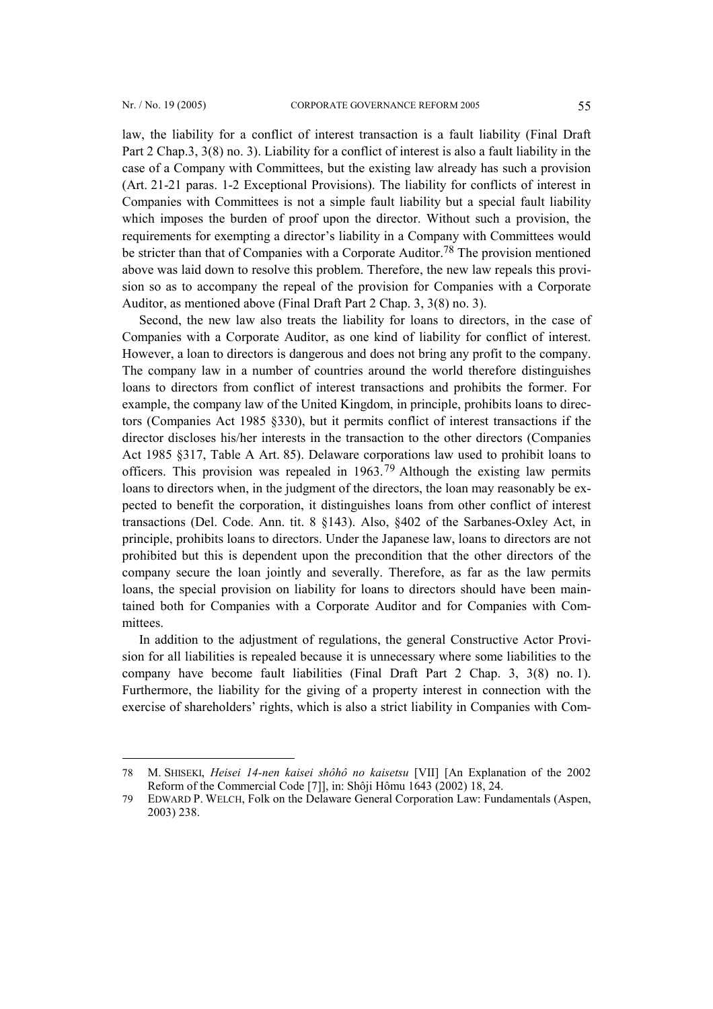l

law, the liability for a conflict of interest transaction is a fault liability (Final Draft Part 2 Chap.3, 3(8) no. 3). Liability for a conflict of interest is also a fault liability in the case of a Company with Committees, but the existing law already has such a provision (Art. 21-21 paras. 1-2 Exceptional Provisions). The liability for conflicts of interest in Companies with Committees is not a simple fault liability but a special fault liability which imposes the burden of proof upon the director. Without such a provision, the requirements for exempting a director's liability in a Company with Committees would be stricter than that of Companies with a Corporate Auditor[.78](#page-20-0) The provision mentioned above was laid down to resolve this problem. Therefore, the new law repeals this provision so as to accompany the repeal of the provision for Companies with a Corporate Auditor, as mentioned above (Final Draft Part 2 Chap. 3, 3(8) no. 3).

Second, the new law also treats the liability for loans to directors, in the case of Companies with a Corporate Auditor, as one kind of liability for conflict of interest. However, a loan to directors is dangerous and does not bring any profit to the company. The company law in a number of countries around the world therefore distinguishes loans to directors from conflict of interest transactions and prohibits the former. For example, the company law of the United Kingdom, in principle, prohibits loans to directors (Companies Act 1985 §330), but it permits conflict of interest transactions if the director discloses his/her interests in the transaction to the other directors (Companies Act 1985 §317, Table A Art. 85). Delaware corporations law used to prohibit loans to officers. This provision was repealed in 1963.[79](#page-20-1) Although the existing law permits loans to directors when, in the judgment of the directors, the loan may reasonably be expected to benefit the corporation, it distinguishes loans from other conflict of interest transactions (Del. Code. Ann. tit. 8 §143). Also, §402 of the Sarbanes-Oxley Act, in principle, prohibits loans to directors. Under the Japanese law, loans to directors are not prohibited but this is dependent upon the precondition that the other directors of the company secure the loan jointly and severally. Therefore, as far as the law permits loans, the special provision on liability for loans to directors should have been maintained both for Companies with a Corporate Auditor and for Companies with Committees.

In addition to the adjustment of regulations, the general Constructive Actor Provision for all liabilities is repealed because it is unnecessary where some liabilities to the company have become fault liabilities (Final Draft Part 2 Chap. 3, 3(8) no. 1). Furthermore, the liability for the giving of a property interest in connection with the exercise of shareholders' rights, which is also a strict liability in Companies with Com-

<span id="page-20-0"></span><sup>78</sup> M. SHISEKI, *Heisei 14-nen kaisei shôhô no kaisetsu* [VII] [An Explanation of the 2002 Reform of the Commercial Code [7]], in: Shôji Hômu 1643 (2002) 18, 24.

<span id="page-20-1"></span><sup>79</sup> EDWARD P. WELCH, Folk on the Delaware General Corporation Law: Fundamentals (Aspen, 2003) 238.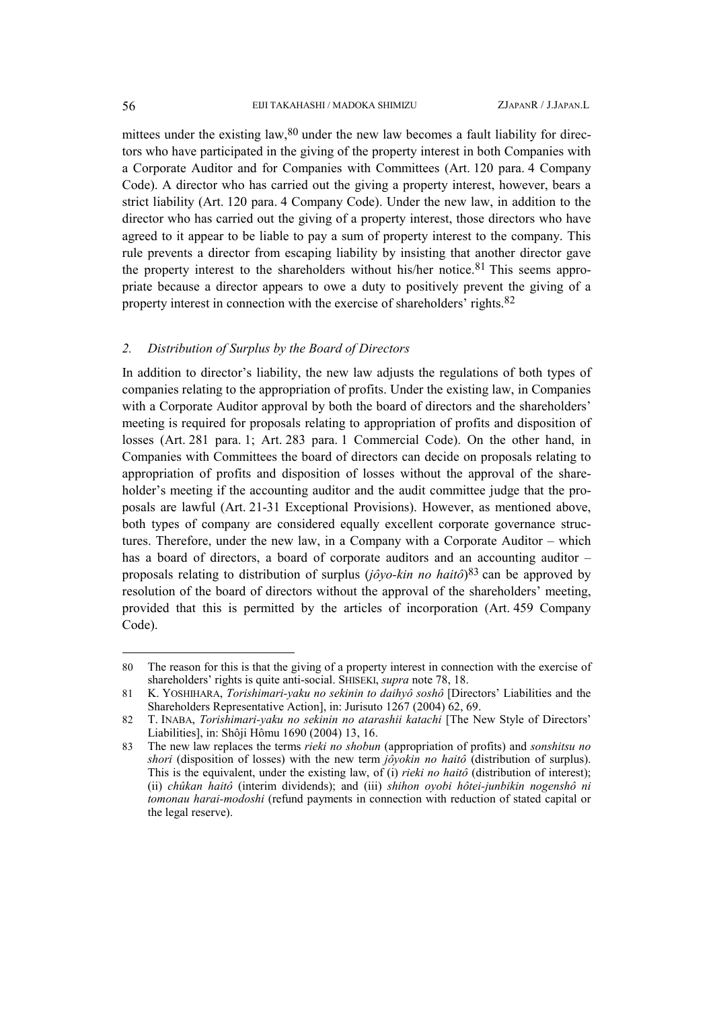mittees under the existing law, $80$  under the new law becomes a fault liability for directors who have participated in the giving of the property interest in both Companies with a Corporate Auditor and for Companies with Committees (Art. 120 para. 4 Company Code). A director who has carried out the giving a property interest, however, bears a strict liability (Art. 120 para. 4 Company Code). Under the new law, in addition to the director who has carried out the giving of a property interest, those directors who have agreed to it appear to be liable to pay a sum of property interest to the company. This rule prevents a director from escaping liability by insisting that another director gave the property interest to the shareholders without his/her notice.<sup>[81](#page-21-1)</sup> This seems appropriate because a director appears to owe a duty to positively prevent the giving of a property interest in connection with the exercise of shareholders' rights.[82](#page-21-2)

## *2. Distribution of Surplus by the Board of Directors*

In addition to director's liability, the new law adjusts the regulations of both types of companies relating to the appropriation of profits. Under the existing law, in Companies with a Corporate Auditor approval by both the board of directors and the shareholders' meeting is required for proposals relating to appropriation of profits and disposition of losses (Art. 281 para. 1; Art. 283 para. 1 Commercial Code). On the other hand, in Companies with Committees the board of directors can decide on proposals relating to appropriation of profits and disposition of losses without the approval of the shareholder's meeting if the accounting auditor and the audit committee judge that the proposals are lawful (Art. 21-31 Exceptional Provisions). However, as mentioned above, both types of company are considered equally excellent corporate governance structures. Therefore, under the new law, in a Company with a Corporate Auditor – which has a board of directors, a board of corporate auditors and an accounting auditor – proposals relating to distribution of surplus (*jôyo-kin no haitô*)[83](#page-21-3) can be approved by resolution of the board of directors without the approval of the shareholders' meeting, provided that this is permitted by the articles of incorporation (Art. 459 Company Code).

<span id="page-21-0"></span><sup>80</sup> The reason for this is that the giving of a property interest in connection with the exercise of shareholders' rights is quite anti-social. SHISEKI, *supra* note 78, 18.

<span id="page-21-1"></span><sup>81</sup> K. YOSHIHARA, *Torishimari-yaku no sekinin to daihyô soshô* [Directors' Liabilities and the Shareholders Representative Action], in: Jurisuto 1267 (2004) 62, 69.

<span id="page-21-2"></span><sup>82</sup> T. INABA, *Torishimari-yaku no sekinin no atarashii katachi* [The New Style of Directors' Liabilities], in: Shôji Hômu 1690 (2004) 13, 16.

<span id="page-21-3"></span><sup>83</sup> The new law replaces the terms *rieki no shobun* (appropriation of profits) and *sonshitsu no shori* (disposition of losses) with the new term *jôyokin no haitô* (distribution of surplus). This is the equivalent, under the existing law, of (i) *rieki no haitô* (distribution of interest); (ii) *chûkan haitô* (interim dividends); and (iii) *shihon oyobi hôtei-junbikin nogenshô ni tomonau harai-modoshi* (refund payments in connection with reduction of stated capital or the legal reserve).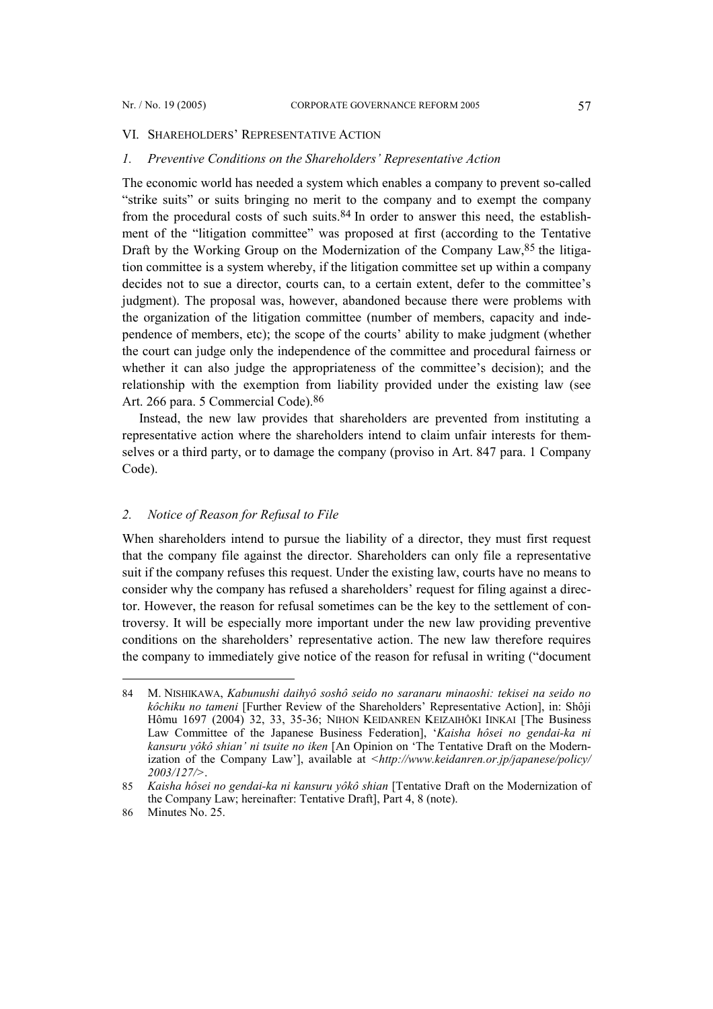#### VI. SHAREHOLDERS' REPRESENTATIVE ACTION

#### *1. Preventive Conditions on the Shareholders' Representative Action*

The economic world has needed a system which enables a company to prevent so-called "strike suits" or suits bringing no merit to the company and to exempt the company from the procedural costs of such suits. $84$  In order to answer this need, the establishment of the "litigation committee" was proposed at first (according to the Tentative Draft by the Working Group on the Modernization of the Company Law, <sup>85</sup> the litigation committee is a system whereby, if the litigation committee set up within a company decides not to sue a director, courts can, to a certain extent, defer to the committee's judgment). The proposal was, however, abandoned because there were problems with the organization of the litigation committee (number of members, capacity and independence of members, etc); the scope of the courts' ability to make judgment (whether the court can judge only the independence of the committee and procedural fairness or whether it can also judge the appropriateness of the committee's decision); and the relationship with the exemption from liability provided under the existing law (see Art. 266 para. 5 Commercial Code).[86](#page-22-2)

Instead, the new law provides that shareholders are prevented from instituting a representative action where the shareholders intend to claim unfair interests for themselves or a third party, or to damage the company (proviso in Art. 847 para. 1 Company Code).

### *2. Notice of Reason for Refusal to File*

When shareholders intend to pursue the liability of a director, they must first request that the company file against the director. Shareholders can only file a representative suit if the company refuses this request. Under the existing law, courts have no means to consider why the company has refused a shareholders' request for filing against a director. However, the reason for refusal sometimes can be the key to the settlement of controversy. It will be especially more important under the new law providing preventive conditions on the shareholders' representative action. The new law therefore requires the company to immediately give notice of the reason for refusal in writing ("document

<span id="page-22-0"></span><sup>84</sup> M. NISHIKAWA, *Kabunushi daihyô soshô seido no saranaru minaoshi: tekisei na seido no kôchiku no tameni* [Further Review of the Shareholders' Representative Action], in: Shôji Hômu 1697 (2004) 32, 33, 35-36; NIHON KEIDANREN KEIZAIHÔKI IINKAI [The Business Law Committee of the Japanese Business Federation], '*Kaisha hôsei no gendai-ka ni kansuru yôkô shian' ni tsuite no iken* [An Opinion on 'The Tentative Draft on the Modernization of the Company Law'], available at *<http://www.keidanren.or.jp/japanese/policy/ 2003/127/>*.

<span id="page-22-1"></span><sup>85</sup> *Kaisha hôsei no gendai-ka ni kansuru yôkô shian* [Tentative Draft on the Modernization of the Company Law; hereinafter: Tentative Draft], Part 4, 8 (note).

<span id="page-22-2"></span><sup>86</sup> Minutes No. 25.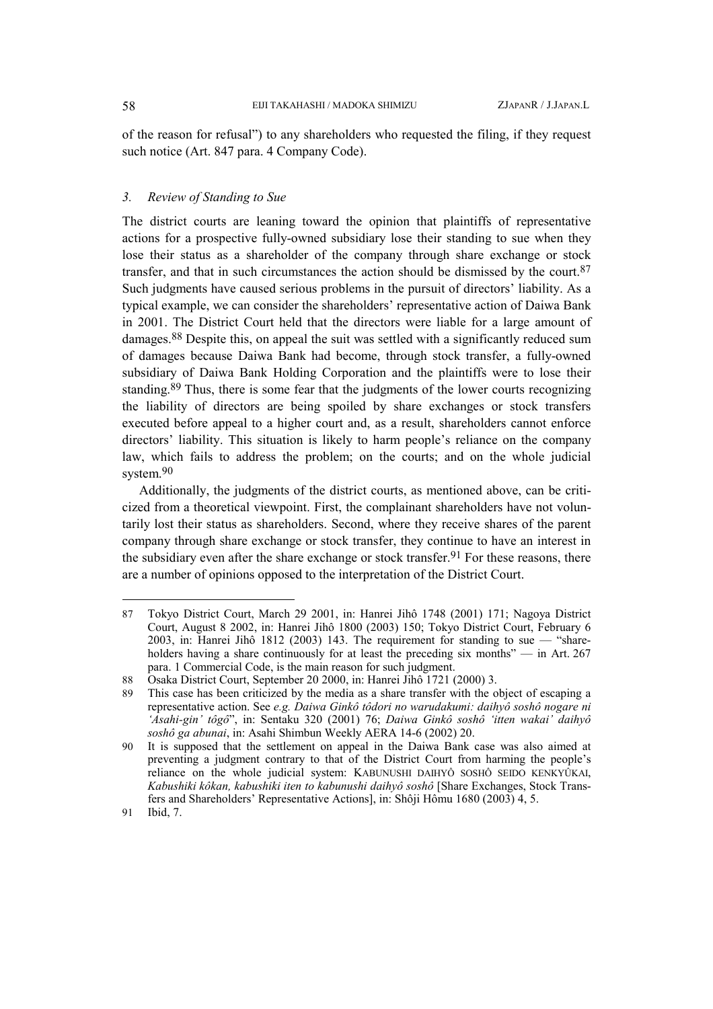of the reason for refusal") to any shareholders who requested the filing, if they request such notice (Art. 847 para. 4 Company Code).

#### *3. Review of Standing to Sue*

The district courts are leaning toward the opinion that plaintiffs of representative actions for a prospective fully-owned subsidiary lose their standing to sue when they lose their status as a shareholder of the company through share exchange or stock transfer, and that in such circumstances the action should be dismissed by the court.  $87$ Such judgments have caused serious problems in the pursuit of directors' liability. As a typical example, we can consider the shareholders' representative action of Daiwa Bank in 2001. The District Court held that the directors were liable for a large amount of damages[.88](#page-23-1) Despite this, on appeal the suit was settled with a significantly reduced sum of damages because Daiwa Bank had become, through stock transfer, a fully-owned subsidiary of Daiwa Bank Holding Corporation and the plaintiffs were to lose their standing.<sup>[89](#page-23-2)</sup> Thus, there is some fear that the judgments of the lower courts recognizing the liability of directors are being spoiled by share exchanges or stock transfers executed before appeal to a higher court and, as a result, shareholders cannot enforce directors' liability. This situation is likely to harm people's reliance on the company law, which fails to address the problem; on the courts; and on the whole judicial system. [90](#page-23-3) 

Additionally, the judgments of the district courts, as mentioned above, can be criticized from a theoretical viewpoint. First, the complainant shareholders have not voluntarily lost their status as shareholders. Second, where they receive shares of the parent company through share exchange or stock transfer, they continue to have an interest in the subsidiary even after the share exchange or stock transfer.<sup>[91](#page-23-4)</sup> For these reasons, there are a number of opinions opposed to the interpretation of the District Court.

<span id="page-23-0"></span><sup>87</sup> Tokyo District Court, March 29 2001, in: Hanrei Jihô 1748 (2001) 171; Nagoya District Court, August 8 2002, in: Hanrei Jihô 1800 (2003) 150; Tokyo District Court, February 6 2003, in: Hanrei Jihô 1812 (2003) 143. The requirement for standing to sue  $-$  "shareholders having a share continuously for at least the preceding six months" — in Art. 267 para. 1 Commercial Code, is the main reason for such judgment.

<span id="page-23-1"></span><sup>88</sup> Osaka District Court, September 20 2000, in: Hanrei Jihô 1721 (2000) 3.

<span id="page-23-2"></span><sup>89</sup> This case has been criticized by the media as a share transfer with the object of escaping a representative action. See *e.g. Daiwa Ginkô tôdori no warudakumi: daihyô soshô nogare ni 'Asahi-gin' tôgô*", in: Sentaku 320 (2001) 76; *Daiwa Ginkô soshô 'itten wakai' daihyô soshô ga abunai*, in: Asahi Shimbun Weekly AERA 14-6 (2002) 20.

<span id="page-23-3"></span><sup>90</sup> It is supposed that the settlement on appeal in the Daiwa Bank case was also aimed at preventing a judgment contrary to that of the District Court from harming the people's reliance on the whole judicial system: KABUNUSHI DAIHYÔ SOSHÔ SEIDO KENKYÛKAI, *Kabushiki kôkan, kabushiki iten to kabunushi daihyô soshô* [Share Exchanges, Stock Transfers and Shareholders' Representative Actions], in: Shôji Hômu 1680 (2003) 4, 5.

<span id="page-23-4"></span><sup>91</sup> Ibid, 7.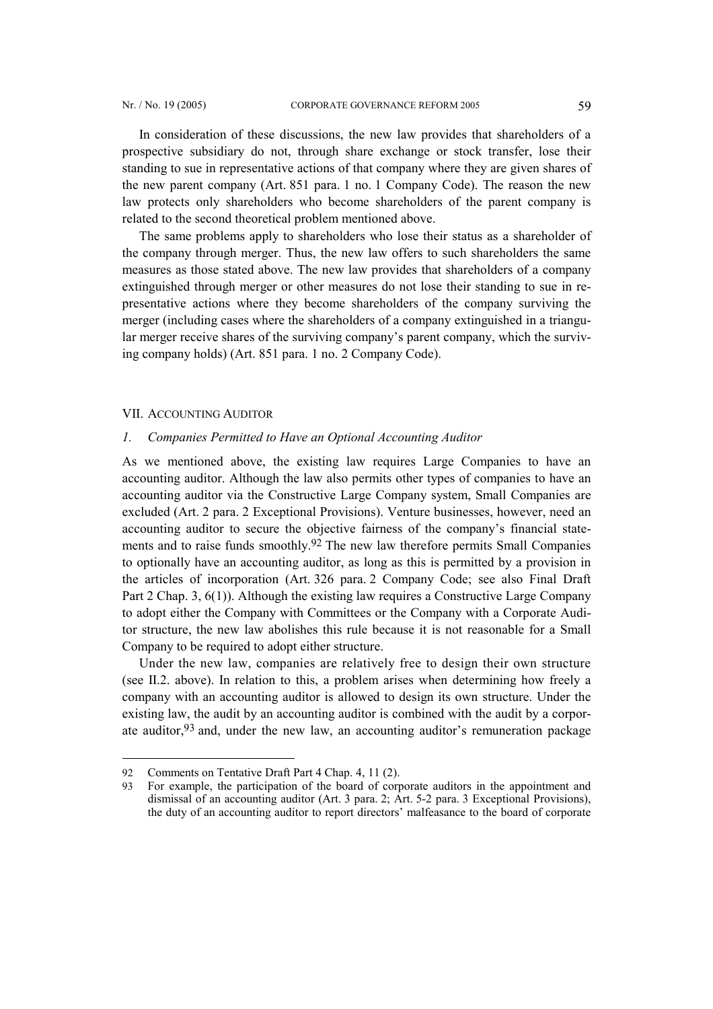<span id="page-24-1"></span>In consideration of these discussions, the new law provides that shareholders of a prospective subsidiary do not, through share exchange or stock transfer, lose their standing to sue in representative actions of that company where they are given shares of the new parent company (Art. 851 para. 1 no. 1 Company Code). The reason the new law protects only shareholders who become shareholders of the parent company is related to the second theoretical problem mentioned above.

The same problems apply to shareholders who lose their status as a shareholder of the company through merger. Thus, the new law offers to such shareholders the same measures as those stated above. The new law provides that shareholders of a company extinguished through merger or other measures do not lose their standing to sue in representative actions where they become shareholders of the company surviving the merger (including cases where the shareholders of a company extinguished in a triangular merger receive shares of the surviving company's parent company, which the surviving company holds) (Art. 851 para. 1 no. 2 Company Code).

#### VII. ACCOUNTING AUDITOR

#### *1. Companies Permitted to Have an Optional Accounting Auditor*

As we mentioned above, the existing law requires Large Companies to have an accounting auditor. Although the law also permits other types of companies to have an accounting auditor via the Constructive Large Company system, Small Companies are excluded (Art. 2 para. 2 Exceptional Provisions). Venture businesses, however, need an accounting auditor to secure the objective fairness of the company's financial state-ments and to raise funds smoothly.<sup>[92](#page-24-0)</sup> The new law therefore permits Small Companies to optionally have an accounting auditor, as long as this is permitted by a provision in the articles of incorporation (Art. 326 para. 2 Company Code; see also Final Draft Part 2 Chap. 3, 6(1)). Although the existing law requires a Constructive Large Company to adopt either the Company with Committees or the Company with a Corporate Auditor structure, the new law abolishes this rule because it is not reasonable for a Small Company to be required to adopt either structure.

Under the new law, companies are relatively free to design their own structure (see II.2. above). In relation to this, a problem arises when determining how freely a company with an accounting auditor is allowed to design its own structure. Under the existing law, the audit by an accounting auditor is combined with the audit by a corporate auditor,[93](#page-24-1) and, under the new law, an accounting auditor's remuneration package

<span id="page-24-0"></span><sup>92</sup> Comments on Tentative Draft Part 4 Chap. 4, 11 (2).

<sup>93</sup> For example, the participation of the board of corporate auditors in the appointment and dismissal of an accounting auditor (Art. 3 para. 2; Art. 5-2 para. 3 Exceptional Provisions), the duty of an accounting auditor to report directors' malfeasance to the board of corporate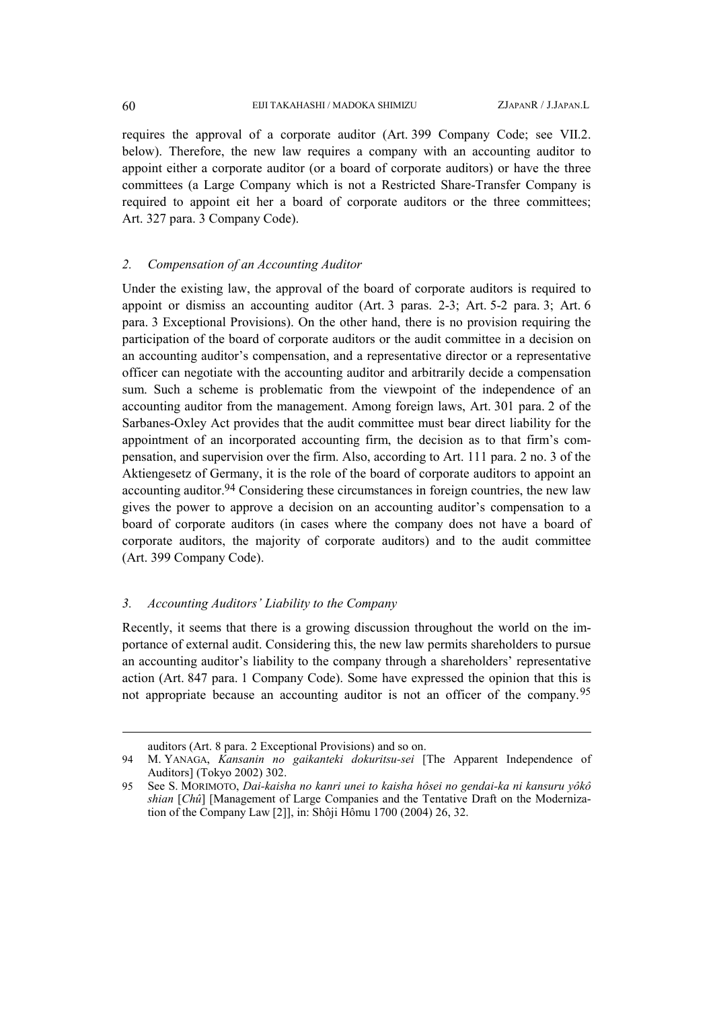requires the approval of a corporate auditor (Art. 399 Company Code; see VII.2. below). Therefore, the new law requires a company with an accounting auditor to appoint either a corporate auditor (or a board of corporate auditors) or have the three committees (a Large Company which is not a Restricted Share-Transfer Company is required to appoint eit her a board of corporate auditors or the three committees; Art. 327 para. 3 Company Code).

### *2. Compensation of an Accounting Auditor*

Under the existing law, the approval of the board of corporate auditors is required to appoint or dismiss an accounting auditor (Art. 3 paras. 2-3; Art. 5-2 para. 3; Art. 6 para. 3 Exceptional Provisions). On the other hand, there is no provision requiring the participation of the board of corporate auditors or the audit committee in a decision on an accounting auditor's compensation, and a representative director or a representative officer can negotiate with the accounting auditor and arbitrarily decide a compensation sum. Such a scheme is problematic from the viewpoint of the independence of an accounting auditor from the management. Among foreign laws, Art. 301 para. 2 of the Sarbanes-Oxley Act provides that the audit committee must bear direct liability for the appointment of an incorporated accounting firm, the decision as to that firm's compensation, and supervision over the firm. Also, according to Art. 111 para. 2 no. 3 of the Aktiengesetz of Germany, it is the role of the board of corporate auditors to appoint an accounting auditor.[94](#page-25-0) Considering these circumstances in foreign countries, the new law gives the power to approve a decision on an accounting auditor's compensation to a board of corporate auditors (in cases where the company does not have a board of corporate auditors, the majority of corporate auditors) and to the audit committee (Art. 399 Company Code).

### *3. Accounting Auditors' Liability to the Company*

Recently, it seems that there is a growing discussion throughout the world on the importance of external audit. Considering this, the new law permits shareholders to pursue an accounting auditor's liability to the company through a shareholders' representative action (Art. 847 para. 1 Company Code). Some have expressed the opinion that this is not appropriate because an accounting auditor is not an officer of the company.[95](#page-25-1)

 $\overline{a}$ 

<span id="page-25-0"></span>auditors (Art. 8 para. 2 Exceptional Provisions) and so on.

<sup>94</sup> M. YANAGA, *Kansanin no gaikanteki dokuritsu-sei* [The Apparent Independence of Auditors] (Tokyo 2002) 302.

<span id="page-25-1"></span><sup>95</sup> See S. MORIMOTO, *Dai-kaisha no kanri unei to kaisha hôsei no gendai-ka ni kansuru yôkô shian* [*Chû*] [Management of Large Companies and the Tentative Draft on the Modernization of the Company Law [2]], in: Shôji Hômu 1700 (2004) 26, 32.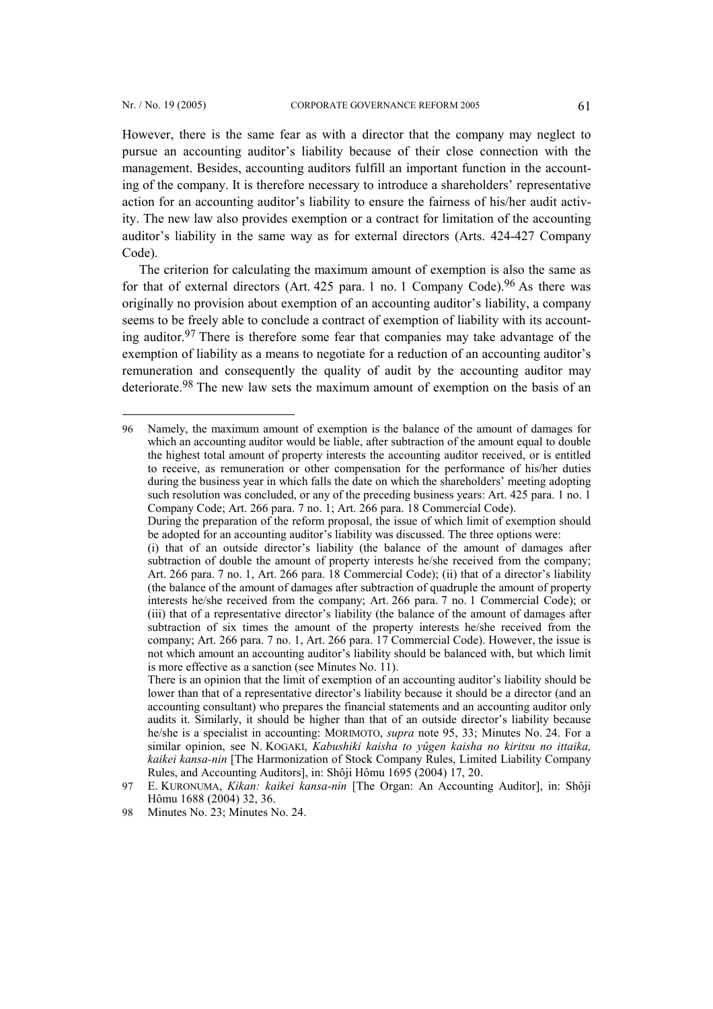$\overline{a}$ 

However, there is the same fear as with a director that the company may neglect to pursue an accounting auditor's liability because of their close connection with the management. Besides, accounting auditors fulfill an important function in the accounting of the company. It is therefore necessary to introduce a shareholders' representative action for an accounting auditor's liability to ensure the fairness of his/her audit activity. The new law also provides exemption or a contract for limitation of the accounting auditor's liability in the same way as for external directors (Arts. 424-427 Company Code).

The criterion for calculating the maximum amount of exemption is also the same as for that of external directors (Art. 425 para. 1 no. 1 Company Code).<sup>[96](#page-26-0)</sup> As there was originally no provision about exemption of an accounting auditor's liability, a company seems to be freely able to conclude a contract of exemption of liability with its accounting auditor[.97](#page-26-1) There is therefore some fear that companies may take advantage of the exemption of liability as a means to negotiate for a reduction of an accounting auditor's remuneration and consequently the quality of audit by the accounting auditor may deteriorate.[98](#page-26-2) The new law sets the maximum amount of exemption on the basis of an

<span id="page-26-0"></span><sup>96</sup> Namely, the maximum amount of exemption is the balance of the amount of damages for which an accounting auditor would be liable, after subtraction of the amount equal to double the highest total amount of property interests the accounting auditor received, or is entitled to receive, as remuneration or other compensation for the performance of his/her duties during the business year in which falls the date on which the shareholders' meeting adopting such resolution was concluded, or any of the preceding business years: Art. 425 para. 1 no. 1 Company Code; Art. 266 para. 7 no. 1; Art. 266 para. 18 Commercial Code).

During the preparation of the reform proposal, the issue of which limit of exemption should be adopted for an accounting auditor's liability was discussed. The three options were:

<sup>(</sup>i) that of an outside director's liability (the balance of the amount of damages after subtraction of double the amount of property interests he/she received from the company; Art. 266 para. 7 no. 1, Art. 266 para. 18 Commercial Code); (ii) that of a director's liability (the balance of the amount of damages after subtraction of quadruple the amount of property interests he/she received from the company; Art. 266 para. 7 no. 1 Commercial Code); or (iii) that of a representative director's liability (the balance of the amount of damages after subtraction of six times the amount of the property interests he/she received from the company; Art. 266 para. 7 no. 1, Art. 266 para. 17 Commercial Code). However, the issue is not which amount an accounting auditor's liability should be balanced with, but which limit is more effective as a sanction (see Minutes No. 11).

There is an opinion that the limit of exemption of an accounting auditor's liability should be lower than that of a representative director's liability because it should be a director (and an accounting consultant) who prepares the financial statements and an accounting auditor only audits it. Similarly, it should be higher than that of an outside director's liability because he/she is a specialist in accounting: MORIMOTO, *supra* note 95, 33; Minutes No. 24. For a similar opinion, see N. KOGAKI, *Kabushiki kaisha to yûgen kaisha no kiritsu no ittaika, kaikei kansa-nin* [The Harmonization of Stock Company Rules, Limited Liability Company Rules, and Accounting Auditors], in: Shôji Hômu 1695 (2004) 17, 20.

<span id="page-26-1"></span><sup>97</sup> E. KURONUMA, *Kikan: kaikei kansa-nin* [The Organ: An Accounting Auditor], in: Shôji Hômu 1688 (2004) 32, 36.

<span id="page-26-2"></span><sup>98</sup> Minutes No. 23; Minutes No. 24.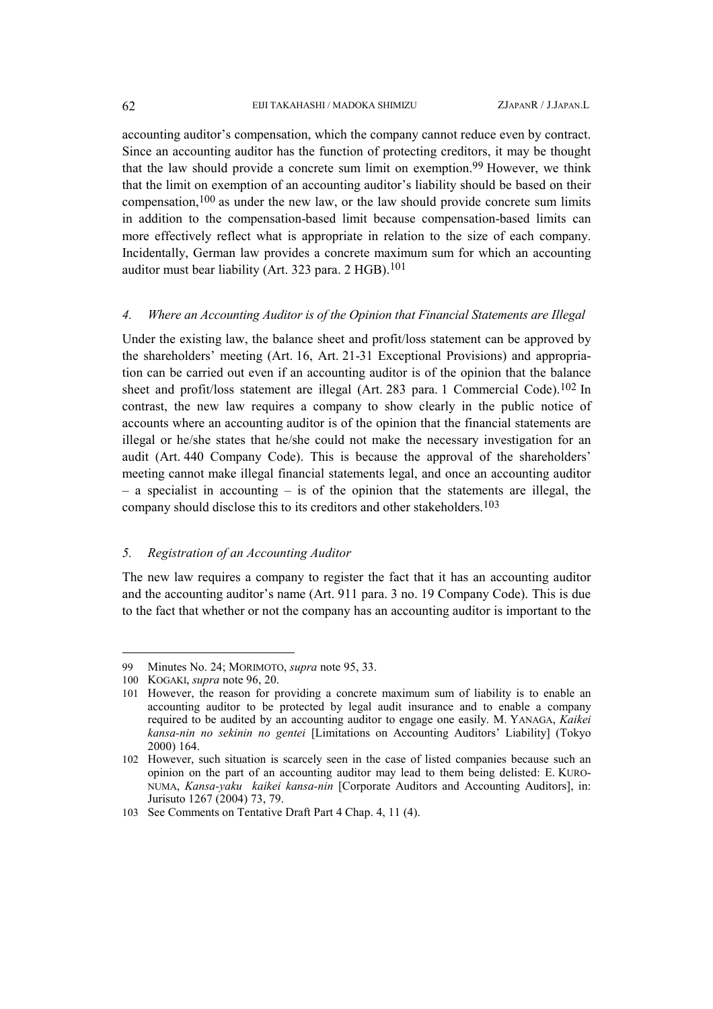accounting auditor's compensation, which the company cannot reduce even by contract. Since an accounting auditor has the function of protecting creditors, it may be thought that the law should provide a concrete sum limit on exemption.[99](#page-27-0) However, we think that the limit on exemption of an accounting auditor's liability should be based on their compensation,[100](#page-27-1) as under the new law, or the law should provide concrete sum limits in addition to the compensation-based limit because compensation-based limits can more effectively reflect what is appropriate in relation to the size of each company. Incidentally, German law provides a concrete maximum sum for which an accounting auditor must bear liability (Art. 323 para. 2 HGB).<sup>[101](#page-27-2)</sup>

#### *4. Where an Accounting Auditor is of the Opinion that Financial Statements are Illegal*

Under the existing law, the balance sheet and profit/loss statement can be approved by the shareholders' meeting (Art. 16, Art. 21-31 Exceptional Provisions) and appropriation can be carried out even if an accounting auditor is of the opinion that the balance sheet and profit/loss statement are illegal (Art. 283 para. 1 Commercial Code).[102](#page-27-3) In contrast, the new law requires a company to show clearly in the public notice of accounts where an accounting auditor is of the opinion that the financial statements are illegal or he/she states that he/she could not make the necessary investigation for an audit (Art. 440 Company Code). This is because the approval of the shareholders' meeting cannot make illegal financial statements legal, and once an accounting auditor – a specialist in accounting – is of the opinion that the statements are illegal, the company should disclose this to its creditors and other stakeholders.[103](#page-27-4)

## *5. Registration of an Accounting Auditor*

The new law requires a company to register the fact that it has an accounting auditor and the accounting auditor's name (Art. 911 para. 3 no. 19 Company Code). This is due to the fact that whether or not the company has an accounting auditor is important to the

 $\overline{a}$ 

<span id="page-27-0"></span><sup>99</sup> Minutes No. 24; MORIMOTO, *supra* note 95, 33.

<span id="page-27-1"></span><sup>100</sup> KOGAKI, *supra* note 96, 20.

<span id="page-27-2"></span><sup>101</sup> However, the reason for providing a concrete maximum sum of liability is to enable an accounting auditor to be protected by legal audit insurance and to enable a company required to be audited by an accounting auditor to engage one easily. M. YANAGA, *Kaikei kansa-nin no sekinin no gentei* [Limitations on Accounting Auditors' Liability] (Tokyo 2000) 164.

<span id="page-27-3"></span><sup>102</sup> However, such situation is scarcely seen in the case of listed companies because such an opinion on the part of an accounting auditor may lead to them being delisted: E. KURO-NUMA, *Kansa-yaku kaikei kansa-nin* [Corporate Auditors and Accounting Auditors], in: Jurisuto 1267 (2004) 73, 79.

<span id="page-27-4"></span><sup>103</sup> See Comments on Tentative Draft Part 4 Chap. 4, 11 (4).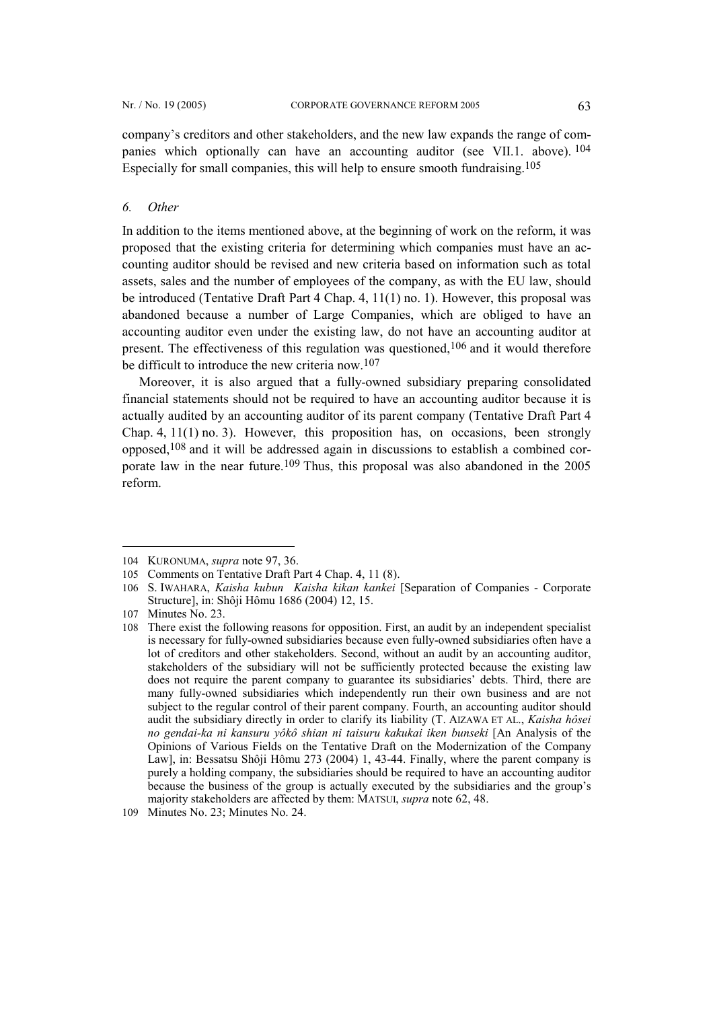company's creditors and other stakeholders, and the new law expands the range of companies which optionally can have an accounting auditor (see VII.1. above). [104](#page-28-0) Especially for small companies, this will help to ensure smooth fundraising. [105](#page-28-1)

## *6. Other*

In addition to the items mentioned above, at the beginning of work on the reform, it was proposed that the existing criteria for determining which companies must have an accounting auditor should be revised and new criteria based on information such as total assets, sales and the number of employees of the company, as with the EU law, should be introduced (Tentative Draft Part 4 Chap. 4, 11(1) no. 1). However, this proposal was abandoned because a number of Large Companies, which are obliged to have an accounting auditor even under the existing law, do not have an accounting auditor at present. The effectiveness of this regulation was questioned,[106](#page-28-2) and it would therefore be difficult to introduce the new criteria now.[107](#page-28-3)

Moreover, it is also argued that a fully-owned subsidiary preparing consolidated financial statements should not be required to have an accounting auditor because it is actually audited by an accounting auditor of its parent company (Tentative Draft Part 4 Chap. 4, 11(1) no. 3). However, this proposition has, on occasions, been strongly opposed,[108](#page-28-4) and it will be addressed again in discussions to establish a combined cor-porate law in the near future.<sup>[109](#page-28-5)</sup> Thus, this proposal was also abandoned in the 2005 reform.

<span id="page-28-0"></span><sup>104</sup> KURONUMA, *supra* note 97, 36.

<span id="page-28-1"></span><sup>105</sup> Comments on Tentative Draft Part 4 Chap. 4, 11 (8).

<span id="page-28-2"></span><sup>106</sup> S. IWAHARA, *Kaisha kubunKaisha kikan kankei* [Separation of Companies - Corporate Structure], in: Shôji Hômu 1686 (2004) 12, 15.

<span id="page-28-3"></span><sup>107</sup> Minutes No. 23.

<span id="page-28-4"></span><sup>108</sup> There exist the following reasons for opposition. First, an audit by an independent specialist is necessary for fully-owned subsidiaries because even fully-owned subsidiaries often have a lot of creditors and other stakeholders. Second, without an audit by an accounting auditor, stakeholders of the subsidiary will not be sufficiently protected because the existing law does not require the parent company to guarantee its subsidiaries' debts. Third, there are many fully-owned subsidiaries which independently run their own business and are not subject to the regular control of their parent company. Fourth, an accounting auditor should audit the subsidiary directly in order to clarify its liability (T. AIZAWA ET AL., *Kaisha hôsei no gendai-ka ni kansuru yôkô shian ni taisuru kakukai iken bunseki* [An Analysis of the Opinions of Various Fields on the Tentative Draft on the Modernization of the Company Law], in: Bessatsu Shôji Hômu 273 (2004) 1, 43-44. Finally, where the parent company is purely a holding company, the subsidiaries should be required to have an accounting auditor because the business of the group is actually executed by the subsidiaries and the group's majority stakeholders are affected by them: MATSUI, *supra* note 62, 48.

<span id="page-28-5"></span><sup>109</sup> Minutes No. 23; Minutes No. 24.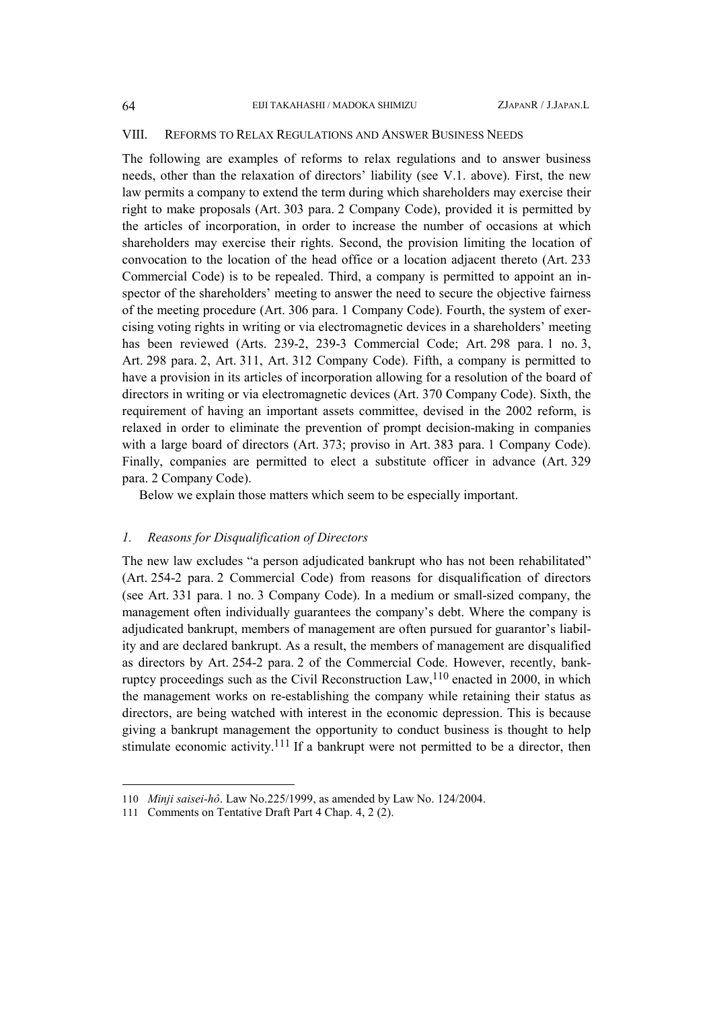#### VIII. REFORMS TO RELAX REGULATIONS AND ANSWER BUSINESS NEEDS

The following are examples of reforms to relax regulations and to answer business needs, other than the relaxation of directors' liability (see V.1. above). First, the new law permits a company to extend the term during which shareholders may exercise their right to make proposals (Art. 303 para. 2 Company Code), provided it is permitted by the articles of incorporation, in order to increase the number of occasions at which shareholders may exercise their rights. Second, the provision limiting the location of convocation to the location of the head office or a location adjacent thereto (Art. 233 Commercial Code) is to be repealed. Third, a company is permitted to appoint an inspector of the shareholders' meeting to answer the need to secure the objective fairness of the meeting procedure (Art. 306 para. 1 Company Code). Fourth, the system of exercising voting rights in writing or via electromagnetic devices in a shareholders' meeting has been reviewed (Arts. 239-2, 239-3 Commercial Code; Art. 298 para. 1 no. 3, Art. 298 para. 2, Art. 311, Art. 312 Company Code). Fifth, a company is permitted to have a provision in its articles of incorporation allowing for a resolution of the board of directors in writing or via electromagnetic devices (Art. 370 Company Code). Sixth, the requirement of having an important assets committee, devised in the 2002 reform, is relaxed in order to eliminate the prevention of prompt decision-making in companies with a large board of directors (Art. 373; proviso in Art. 383 para. 1 Company Code). Finally, companies are permitted to elect a substitute officer in advance (Art. 329 para. 2 Company Code).

Below we explain those matters which seem to be especially important.

#### *1. Reasons for Disqualification of Directors*

The new law excludes "a person adjudicated bankrupt who has not been rehabilitated" (Art. 254-2 para. 2 Commercial Code) from reasons for disqualification of directors (see Art. 331 para. 1 no. 3 Company Code). In a medium or small-sized company, the management often individually guarantees the company's debt. Where the company is adjudicated bankrupt, members of management are often pursued for guarantor's liability and are declared bankrupt. As a result, the members of management are disqualified as directors by Art. 254-2 para. 2 of the Commercial Code. However, recently, bank-ruptcy proceedings such as the Civil Reconstruction Law, <sup>[110](#page-29-0)</sup> enacted in 2000, in which the management works on re-establishing the company while retaining their status as directors, are being watched with interest in the economic depression. This is because giving a bankrupt management the opportunity to conduct business is thought to help stimulate economic activity.<sup>[111](#page-29-1)</sup> If a bankrupt were not permitted to be a director, then

<span id="page-29-0"></span><sup>110</sup> *Minji saisei-hô*. Law No.225/1999, as amended by Law No. 124/2004.

<span id="page-29-1"></span><sup>111</sup> Comments on Tentative Draft Part 4 Chap. 4, 2 (2).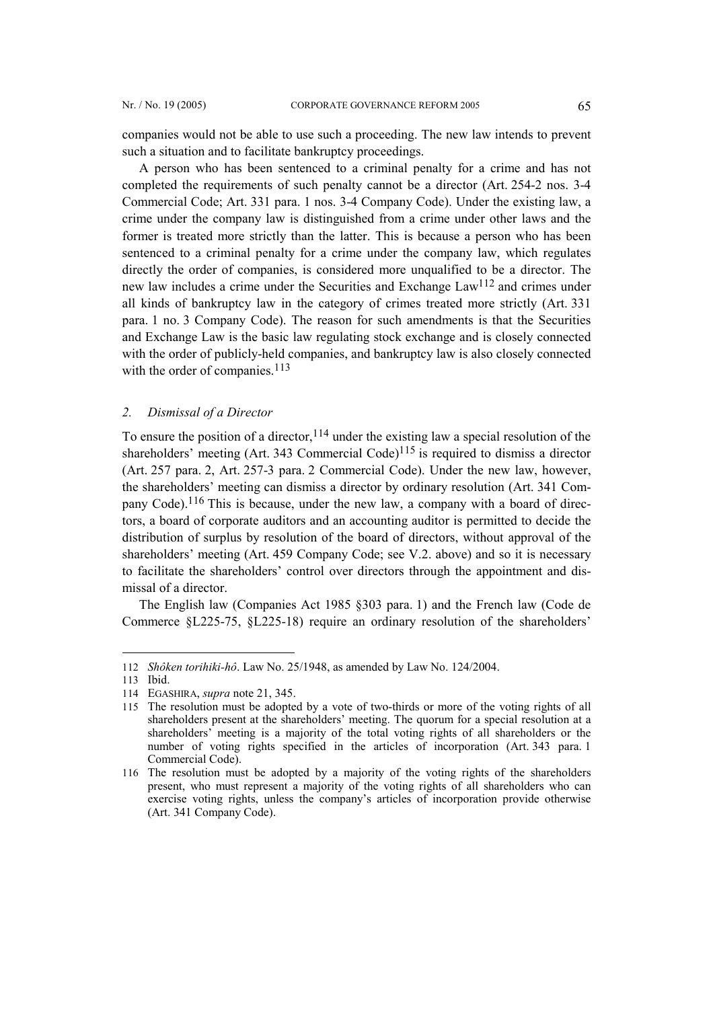companies would not be able to use such a proceeding. The new law intends to prevent such a situation and to facilitate bankruptcy proceedings.

A person who has been sentenced to a criminal penalty for a crime and has not completed the requirements of such penalty cannot be a director (Art. 254-2 nos. 3-4 Commercial Code; Art. 331 para. 1 nos. 3-4 Company Code). Under the existing law, a crime under the company law is distinguished from a crime under other laws and the former is treated more strictly than the latter. This is because a person who has been sentenced to a criminal penalty for a crime under the company law, which regulates directly the order of companies, is considered more unqualified to be a director. The new law includes a crime under the Securities and Exchange La[w112](#page-30-0) and crimes under all kinds of bankruptcy law in the category of crimes treated more strictly (Art. 331 para. 1 no. 3 Company Code). The reason for such amendments is that the Securities and Exchange Law is the basic law regulating stock exchange and is closely connected with the order of publicly-held companies, and bankruptcy law is also closely connected with the order of companies.<sup>[113](#page-30-1)</sup>

#### *2. Dismissal of a Director*

To ensure the position of a director,  $114$  under the existing law a special resolution of the shareholders' meeting (Art. 343 Commercial Code)<sup>[115](#page-30-3)</sup> is required to dismiss a director (Art. 257 para. 2, Art. 257-3 para. 2 Commercial Code). Under the new law, however, the shareholders' meeting can dismiss a director by ordinary resolution (Art. 341 Company Code).[116](#page-30-4) This is because, under the new law, a company with a board of directors, a board of corporate auditors and an accounting auditor is permitted to decide the distribution of surplus by resolution of the board of directors, without approval of the shareholders' meeting (Art. 459 Company Code; see V.2. above) and so it is necessary to facilitate the shareholders' control over directors through the appointment and dismissal of a director.

The English law (Companies Act 1985 §303 para. 1) and the French law (Code de Commerce §L225-75, §L225-18) require an ordinary resolution of the shareholders'

 $\overline{a}$ 

<span id="page-30-0"></span><sup>112</sup> *Shôken torihiki-hô*. Law No. 25/1948, as amended by Law No. 124/2004.

<span id="page-30-1"></span><sup>113</sup> Ibid.

<span id="page-30-2"></span><sup>114</sup> EGASHIRA, *supra* note 21, 345.

<span id="page-30-3"></span><sup>115</sup> The resolution must be adopted by a vote of two-thirds or more of the voting rights of all shareholders present at the shareholders' meeting. The quorum for a special resolution at a shareholders' meeting is a majority of the total voting rights of all shareholders or the number of voting rights specified in the articles of incorporation (Art. 343 para. 1 Commercial Code).

<span id="page-30-4"></span><sup>116</sup> The resolution must be adopted by a majority of the voting rights of the shareholders present, who must represent a majority of the voting rights of all shareholders who can exercise voting rights, unless the company's articles of incorporation provide otherwise (Art. 341 Company Code).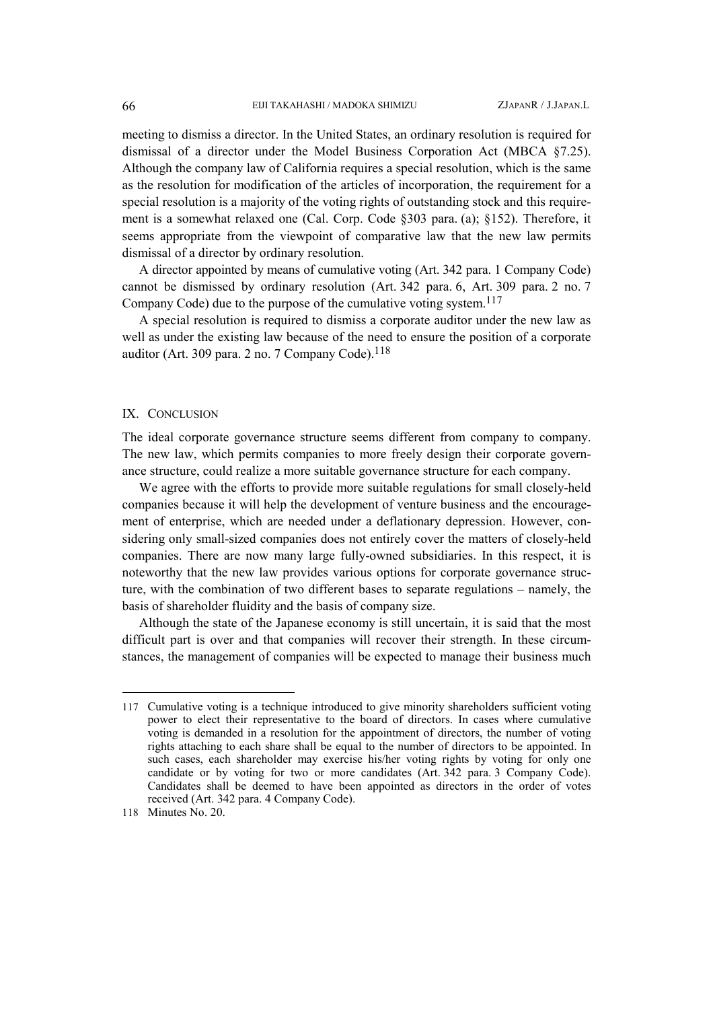meeting to dismiss a director. In the United States, an ordinary resolution is required for dismissal of a director under the Model Business Corporation Act (MBCA §7.25). Although the company law of California requires a special resolution, which is the same as the resolution for modification of the articles of incorporation, the requirement for a special resolution is a majority of the voting rights of outstanding stock and this requirement is a somewhat relaxed one (Cal. Corp. Code §303 para. (a); §152). Therefore, it seems appropriate from the viewpoint of comparative law that the new law permits dismissal of a director by ordinary resolution.

A director appointed by means of cumulative voting (Art. 342 para. 1 Company Code) cannot be dismissed by ordinary resolution (Art. 342 para. 6, Art. 309 para. 2 no. 7 Company Code) due to the purpose of the cumulative voting system. [117](#page-31-0)

A special resolution is required to dismiss a corporate auditor under the new law as well as under the existing law because of the need to ensure the position of a corporate auditor (Art. 309 para. 2 no. 7 Company Code). $118$ 

#### IX. CONCLUSION

The ideal corporate governance structure seems different from company to company. The new law, which permits companies to more freely design their corporate governance structure, could realize a more suitable governance structure for each company.

We agree with the efforts to provide more suitable regulations for small closely-held companies because it will help the development of venture business and the encouragement of enterprise, which are needed under a deflationary depression. However, considering only small-sized companies does not entirely cover the matters of closely-held companies. There are now many large fully-owned subsidiaries. In this respect, it is noteworthy that the new law provides various options for corporate governance structure, with the combination of two different bases to separate regulations – namely, the basis of shareholder fluidity and the basis of company size.

Although the state of the Japanese economy is still uncertain, it is said that the most difficult part is over and that companies will recover their strength. In these circumstances, the management of companies will be expected to manage their business much

<span id="page-31-0"></span><sup>117</sup> Cumulative voting is a technique introduced to give minority shareholders sufficient voting power to elect their representative to the board of directors. In cases where cumulative voting is demanded in a resolution for the appointment of directors, the number of voting rights attaching to each share shall be equal to the number of directors to be appointed. In such cases, each shareholder may exercise his/her voting rights by voting for only one candidate or by voting for two or more candidates (Art. 342 para. 3 Company Code). Candidates shall be deemed to have been appointed as directors in the order of votes received (Art. 342 para. 4 Company Code).

<span id="page-31-1"></span><sup>118</sup> Minutes No. 20.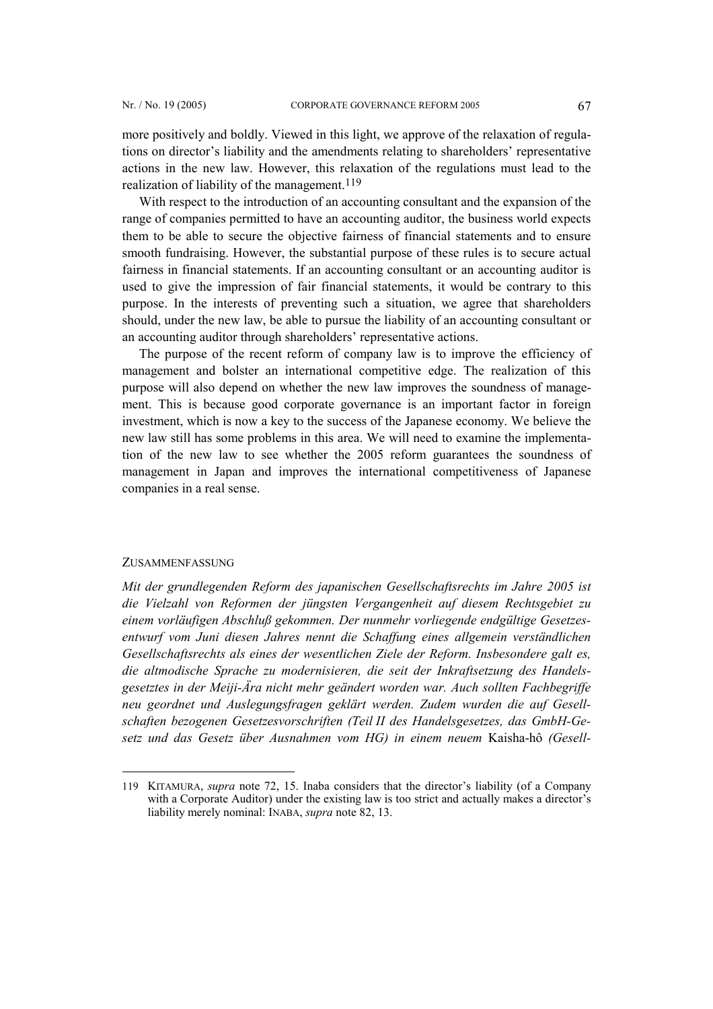more positively and boldly. Viewed in this light, we approve of the relaxation of regulations on director's liability and the amendments relating to shareholders' representative actions in the new law. However, this relaxation of the regulations must lead to the realization of liability of the management.<sup>[119](#page-32-0)</sup>

With respect to the introduction of an accounting consultant and the expansion of the range of companies permitted to have an accounting auditor, the business world expects them to be able to secure the objective fairness of financial statements and to ensure smooth fundraising. However, the substantial purpose of these rules is to secure actual fairness in financial statements. If an accounting consultant or an accounting auditor is used to give the impression of fair financial statements, it would be contrary to this purpose. In the interests of preventing such a situation, we agree that shareholders should, under the new law, be able to pursue the liability of an accounting consultant or an accounting auditor through shareholders' representative actions.

The purpose of the recent reform of company law is to improve the efficiency of management and bolster an international competitive edge. The realization of this purpose will also depend on whether the new law improves the soundness of management. This is because good corporate governance is an important factor in foreign investment, which is now a key to the success of the Japanese economy. We believe the new law still has some problems in this area. We will need to examine the implementation of the new law to see whether the 2005 reform guarantees the soundness of management in Japan and improves the international competitiveness of Japanese companies in a real sense.

#### ZUSAMMENFASSUNG

 $\overline{a}$ 

*Mit der grundlegenden Reform des japanischen Gesellschaftsrechts im Jahre 2005 ist die Vielzahl von Reformen der jüngsten Vergangenheit auf diesem Rechtsgebiet zu einem vorläufigen Abschluß gekommen. Der nunmehr vorliegende endgültige Gesetzesentwurf vom Juni diesen Jahres nennt die Schaffung eines allgemein verständlichen Gesellschaftsrechts als eines der wesentlichen Ziele der Reform. Insbesondere galt es, die altmodische Sprache zu modernisieren, die seit der Inkraftsetzung des Handelsgesetztes in der Meiji-Ära nicht mehr geändert worden war. Auch sollten Fachbegriffe neu geordnet und Auslegungsfragen geklärt werden. Zudem wurden die auf Gesellschaften bezogenen Gesetzesvorschriften (Teil II des Handelsgesetzes, das GmbH-Gesetz und das Gesetz über Ausnahmen vom HG) in einem neuem* Kaisha-hô *(Gesell-*

<span id="page-32-0"></span><sup>119</sup> KITAMURA, *supra* note 72, 15. Inaba considers that the director's liability (of a Company with a Corporate Auditor) under the existing law is too strict and actually makes a director's liability merely nominal: INABA, *supra* note 82, 13.